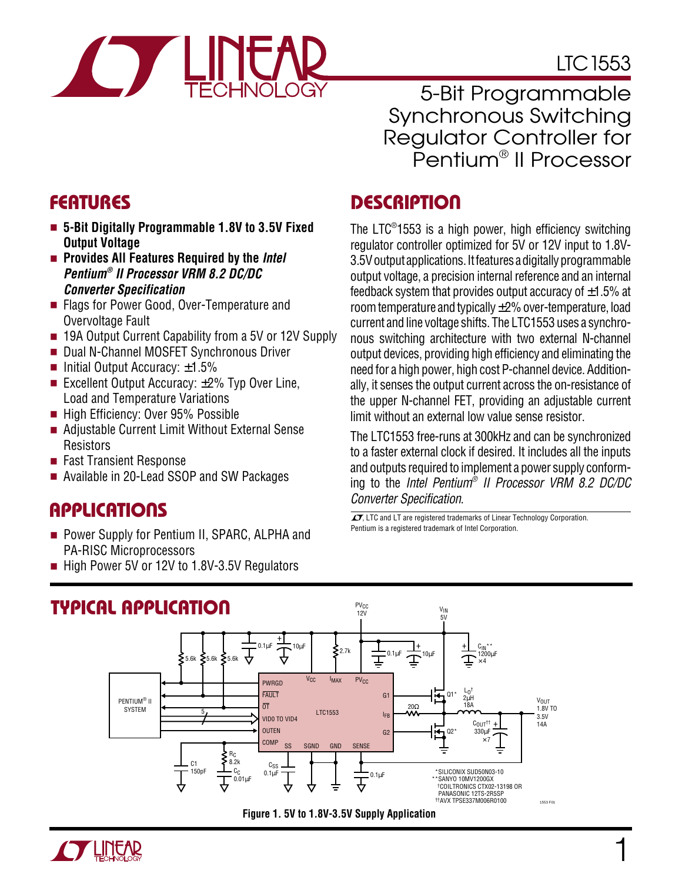# LTC1553

1

5-Bit Programmable Synchronous Switching Regulator Controller for Pentium® II Processor

### **FEATURES DESCRIPTION U**

The LTC® 1553 is a high power, high efficiency switching regulator controller optimized for 5V or 12V input to 1.8V-3.5V output applications. It features a digitally programmable output voltage, a precision internal reference and an internal feedback system that provides output accuracy of  $\pm 1.5\%$  at room temperature and typically ±2% over-temperature, load current and line voltage shifts. The LTC1553 uses a synchronous switching architecture with two external N-channel output devices, providing high efficiency and eliminating the need for a high power, high cost P-channel device. Additionally, it senses the output current across the on-resistance of the upper N-channel FET, providing an adjustable current limit without an external low value sense resistor.

The LTC1553 free-runs at 300kHz and can be synchronized to a faster external clock if desired. It includes all the inputs and outputs required to implement a power supply conforming to the Intel Pentium® II Processor VRM 8.2 DC/DC Converter Specification.

 $\sqrt{J}$ , LTC and LT are registered trademarks of Linear Technology Corporation. Pentium is a registered trademark of Intel Corporation.





- **Provides All Features Required by the** *Intel* **Pentium® II Processor VRM 8.2 DC/DC Converter Specification**
- Flags for Power Good, Over-Temperature and Overvoltage Fault
- 19A Output Current Capability from a 5V or 12V Supply
- Dual N-Channel MOSFET Synchronous Driver
- Initial Output Accuracy:  $±1.5%$
- Excellent Output Accuracy: ±2% Typ Over Line, Load and Temperature Variations
- High Efficiency: Over 95% Possible
- Adjustable Current Limit Without External Sense **Resistors**
- Fast Transient Response
- Available in 20-Lead SSOP and SW Packages

#### **APPLICATIONS**  $\overline{\phantom{0}}$

- Power Supply for Pentium II, SPARC, ALPHA and PA-RISC Microprocessors
- High Power 5V or 12V to 1.8V-3.5V Regulators

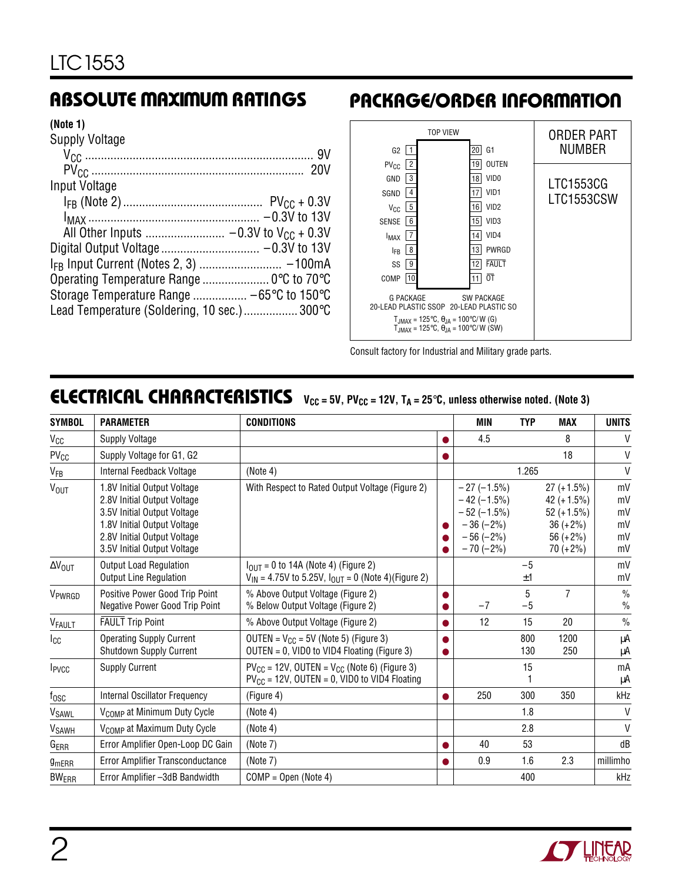### **ABSOLUTE MAXIMUM RATINGS**

#### **(Note 1)**

| <b>Supply Voltage</b>                       |  |
|---------------------------------------------|--|
|                                             |  |
|                                             |  |
| Input Voltage                               |  |
|                                             |  |
|                                             |  |
|                                             |  |
|                                             |  |
|                                             |  |
| Operating Temperature Range  0°C to 70°C    |  |
|                                             |  |
| Lead Temperature (Soldering, 10 sec.) 300°C |  |

### **PACKAGE/ORDER INFORMATION**



Consult factory for Industrial and Military grade parts.

### **ELECTRICAL CHARACTERISTICS**  $V_{CC} = 5V$ , PV<sub>CC</sub> = 12V, T<sub>A</sub> = 25°C, unless otherwise noted. (Note 3)

| <b>SYMBOL</b><br><b>PARAMETER</b> |                                                                                                                                                                                        | <b>CONDITIONS</b>                                                                                              |  | <b>MIN</b>                                                                                 | <b>TYP</b> | <b>MAX</b>                                                                                | <b>UNITS</b>                     |
|-----------------------------------|----------------------------------------------------------------------------------------------------------------------------------------------------------------------------------------|----------------------------------------------------------------------------------------------------------------|--|--------------------------------------------------------------------------------------------|------------|-------------------------------------------------------------------------------------------|----------------------------------|
| Vcc                               | <b>Supply Voltage</b>                                                                                                                                                                  |                                                                                                                |  | 4.5                                                                                        |            | 8                                                                                         | V                                |
| $PV_{CC}$                         | Supply Voltage for G1, G2                                                                                                                                                              |                                                                                                                |  |                                                                                            |            | 18                                                                                        | V                                |
| $V_{FB}$                          | Internal Feedback Voltage                                                                                                                                                              | (Note 4)                                                                                                       |  |                                                                                            | 1.265      |                                                                                           | $\vee$                           |
| V <sub>OUT</sub>                  | 1.8V Initial Output Voltage<br>2.8V Initial Output Voltage<br>3.5V Initial Output Voltage<br>1.8V Initial Output Voltage<br>2.8V Initial Output Voltage<br>3.5V Initial Output Voltage | With Respect to Rated Output Voltage (Figure 2)                                                                |  | $-27(-1.5%)$<br>$-42 (-1.5%)$<br>$-52 (-1.5%)$<br>$-36(-2%)$<br>$-56 (-2%)$<br>$-70 (-2%)$ |            | $27 (+1.5%)$<br>42 $(+1.5%)$<br>$52 (+1.5%)$<br>$36 (+ 2\%)$<br>56 $(+2%)$<br>$70 (+2\%)$ | mV<br>mV<br>mV<br>mV<br>mV<br>mV |
| $\Delta V_{\text{OUT}}$           | <b>Output Load Regulation</b><br><b>Output Line Regulation</b>                                                                                                                         | $I_{\text{OUT}} = 0$ to 14A (Note 4) (Figure 2)<br>$V_{1N}$ = 4.75V to 5.25V, $I_{OUT}$ = 0 (Note 4)(Figure 2) |  |                                                                                            | $-5$<br>±1 |                                                                                           | mV<br>mV                         |
| V <sub>PWRGD</sub>                | Positive Power Good Trip Point<br>Negative Power Good Trip Point                                                                                                                       | % Above Output Voltage (Figure 2)<br>% Below Output Voltage (Figure 2)                                         |  | $-7$                                                                                       | 5<br>$-5$  | $\overline{7}$                                                                            | $\frac{0}{0}$<br>$\frac{0}{0}$   |
| VFAULT                            | <b>FAULT Trip Point</b>                                                                                                                                                                | % Above Output Voltage (Figure 2)                                                                              |  | 12                                                                                         | 15         | 20                                                                                        | $\frac{0}{0}$                    |
| $_{\rm{lcc}}$                     | <b>Operating Supply Current</b><br>Shutdown Supply Current                                                                                                                             | OUTEN = $V_{CC}$ = 5V (Note 5) (Figure 3)<br>OUTEN = 0, VID0 to VID4 Floating (Figure 3)                       |  |                                                                                            | 800<br>130 | 1200<br>250                                                                               | μA<br>μA                         |
| <b>I</b> <sub>PVCC</sub>          | <b>Supply Current</b>                                                                                                                                                                  | $PV_{CC}$ = 12V, OUTEN = $V_{CC}$ (Note 6) (Figure 3)<br>$PV_{CC}$ = 12V, OUTEN = 0, VID0 to VID4 Floating     |  |                                                                                            | 15         |                                                                                           | mA<br>μA                         |
| $f_{\rm OSC}$                     | <b>Internal Oscillator Frequency</b>                                                                                                                                                   | (Figure 4)                                                                                                     |  | 250                                                                                        | 300        | 350                                                                                       | kHz                              |
| V <sub>SAWL</sub>                 | V <sub>COMP</sub> at Minimum Duty Cycle                                                                                                                                                | (Note 4)                                                                                                       |  |                                                                                            | 1.8        |                                                                                           | $\vee$                           |
| <b>V</b> <sub>SAWH</sub>          | V <sub>COMP</sub> at Maximum Duty Cycle                                                                                                                                                | (Note 4)                                                                                                       |  |                                                                                            | 2.8        |                                                                                           | $\mathsf{V}$                     |
| G <sub>ERR</sub>                  | Error Amplifier Open-Loop DC Gain                                                                                                                                                      | (Note 7)                                                                                                       |  | 40                                                                                         | 53         |                                                                                           | dB                               |
| <b>9mERR</b>                      | Error Amplifier Transconductance                                                                                                                                                       | (Note 7)                                                                                                       |  | 0.9                                                                                        | 1.6        | 2.3                                                                                       | millimho                         |
| <b>BWERR</b>                      | Error Amplifier -3dB Bandwidth                                                                                                                                                         | $COMP = Open (Note 4)$                                                                                         |  |                                                                                            | 400        |                                                                                           | kHz                              |

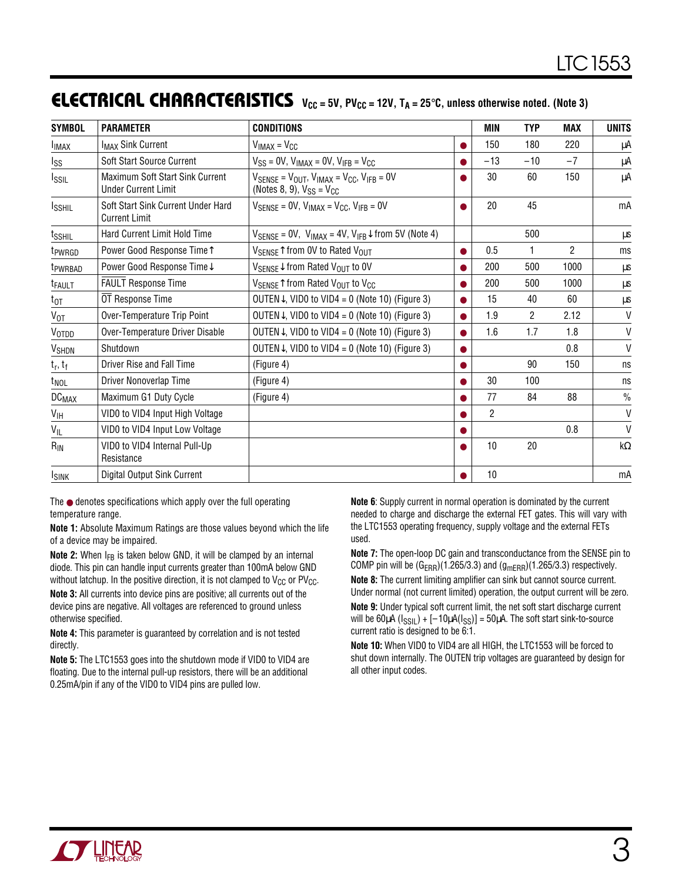### **ELECTRICAL CHARACTERISTICS**  $V_{CC} = 5V$ , PV<sub>CC</sub> = 12V, T<sub>A</sub> = 25°C, unless otherwise noted. (Note 3)

| <b>SYMBOL</b>           | <b>PARAMETER</b>                                              | <b>CONDITIONS</b>                                                                                                                  | <b>MIN</b> | TYP   | <b>MAX</b>     | <b>UNITS</b> |               |
|-------------------------|---------------------------------------------------------------|------------------------------------------------------------------------------------------------------------------------------------|------------|-------|----------------|--------------|---------------|
| <b>I</b> IMAX           | <b>I<sub>MAX</sub> Sink Current</b>                           | $V_{IMAX} = V_{CC}$                                                                                                                |            | 150   | 180            | 220          | μA            |
| Iss                     | Soft Start Source Current                                     | $V_{SS}$ = 0V, $V_{IMAX}$ = 0V, $V_{IFB}$ = $V_{CC}$                                                                               |            | $-13$ | $-10$          | $-7$         | μA            |
| Issil                   | Maximum Soft Start Sink Current<br><b>Under Current Limit</b> | $V_{\text{SENSE}} = V_{\text{OUT}}$ , $V_{\text{IMAX}} = V_{\text{CC}}$ , $V_{\text{IFB}} = 0V$<br>(Notes 8, 9), $V_{SS} = V_{CC}$ |            | 30    | 60             | 150          | μA            |
| <b>ISSHIL</b>           | Soft Start Sink Current Under Hard<br><b>Current Limit</b>    | $V_{\text{SFNSF}} = 0V$ , $V_{\text{IMAX}} = V_{\text{CC}}$ , $V_{\text{IFB}} = 0V$                                                |            | 20    | 45             |              | mA            |
| t <sub>SSHIL</sub>      | Hard Current Limit Hold Time                                  | $V_{\text{SENSE}} = 0V$ , $V_{\text{IMAX}} = 4V$ , $V_{\text{IFB}} \downarrow$ from 5V (Note 4)                                    |            |       | 500            |              | μs            |
| t <sub>PWRGD</sub>      | Power Good Response Time <sup>1</sup>                         | V <sub>SENSE</sub> <sup><math>\uparrow</math></sup> from 0V to Rated V <sub>OUT</sub>                                              |            | 0.5   |                | 2            | ms            |
| <sup>t</sup> PWRBAD     | Power Good Response Time↓                                     | $V_{\text{SENSE}}\downarrow$ from Rated $V_{\text{OUT}}$ to 0V                                                                     |            | 200   | 500            | 1000         | μs            |
| <sup>t</sup> FAULT      | <b>FAULT Response Time</b>                                    | $V_{\text{SENSE}}$ from Rated $V_{\text{OUT}}$ to $V_{\text{CC}}$                                                                  |            | 200   | 500            | 1000         | μs            |
| $t_{0T}$                | OT Response Time                                              | OUTEN $\downarrow$ , VID0 to VID4 = 0 (Note 10) (Figure 3)                                                                         |            | 15    | 40             | 60           | μs            |
| $V_{OT}$                | Over-Temperature Trip Point                                   | OUTEN $\downarrow$ , VID0 to VID4 = 0 (Note 10) (Figure 3)                                                                         |            | 1.9   | $\overline{2}$ | 2.12         | $\mathsf{V}$  |
| V <sub>отрр</sub>       | Over-Temperature Driver Disable                               | OUTEN $\downarrow$ , VID0 to VID4 = 0 (Note 10) (Figure 3)                                                                         |            | 1.6   | 1.7            | 1.8          | $\mathsf{V}$  |
| <b>V<sub>SHDN</sub></b> | Shutdown                                                      | OUTEN $\downarrow$ , VID0 to VID4 = 0 (Note 10) (Figure 3)                                                                         |            |       |                | 0.8          | $\mathsf{V}$  |
| $t_r, t_f$              | Driver Rise and Fall Time                                     | (Figure 4)                                                                                                                         |            |       | 90             | 150          | ns            |
| t <sub>NOL</sub>        | Driver Nonoverlap Time                                        | (Figure 4)                                                                                                                         |            | 30    | 100            |              | ns            |
| <b>DC<sub>MAX</sub></b> | Maximum G1 Duty Cycle                                         | (Figure 4)                                                                                                                         |            | 77    | 84             | 88           | $\frac{0}{0}$ |
| V <sub>IH</sub>         | VID0 to VID4 Input High Voltage                               |                                                                                                                                    |            | 2     |                |              | $\vee$        |
| $V_{IL}$                | VID0 to VID4 Input Low Voltage                                |                                                                                                                                    |            |       |                | 0.8          | $\mathsf{V}$  |
| $R_{IN}$                | VID0 to VID4 Internal Pull-Up<br>Resistance                   |                                                                                                                                    |            | 10    | 20             |              | $k\Omega$     |
| <b>ISINK</b>            | Digital Output Sink Current                                   |                                                                                                                                    |            | 10    |                |              | mA            |

The ● denotes specifications which apply over the full operating temperature range.

**Note 1:** Absolute Maximum Ratings are those values beyond which the life of a device may be impaired.

**Note 2:** When I<sub>FB</sub> is taken below GND, it will be clamped by an internal diode. This pin can handle input currents greater than 100mA below GND without latchup. In the positive direction, it is not clamped to  $V_{CC}$  or  $PV_{CC}$ .

**Note 3:** All currents into device pins are positive; all currents out of the device pins are negative. All voltages are referenced to ground unless otherwise specified.

**Note 4:** This parameter is guaranteed by correlation and is not tested directly.

**Note 5:** The LTC1553 goes into the shutdown mode if VID0 to VID4 are floating. Due to the internal pull-up resistors, there will be an additional 0.25mA/pin if any of the VID0 to VID4 pins are pulled low.

**Note 6**: Supply current in normal operation is dominated by the current needed to charge and discharge the external FET gates. This will vary with the LTC1553 operating frequency, supply voltage and the external FETs used.

**Note 7:** The open-loop DC gain and transconductance from the SENSE pin to COMP pin will be  $(G_{\text{ERR}})(1.265/3.3)$  and  $(g_{\text{mERR}})(1.265/3.3)$  respectively.

**Note 8:** The current limiting amplifier can sink but cannot source current. Under normal (not current limited) operation, the output current will be zero.

**Note 9:** Under typical soft current limit, the net soft start discharge current will be  $60\mu A (I_{\text{SSL}}) + [-10\mu A (I_{\text{SS}})] = 50\mu A$ . The soft start sink-to-source current ratio is designed to be 6:1.

**Note 10:** When VID0 to VID4 are all HIGH, the LTC1553 will be forced to shut down internally. The OUTEN trip voltages are guaranteed by design for all other input codes.

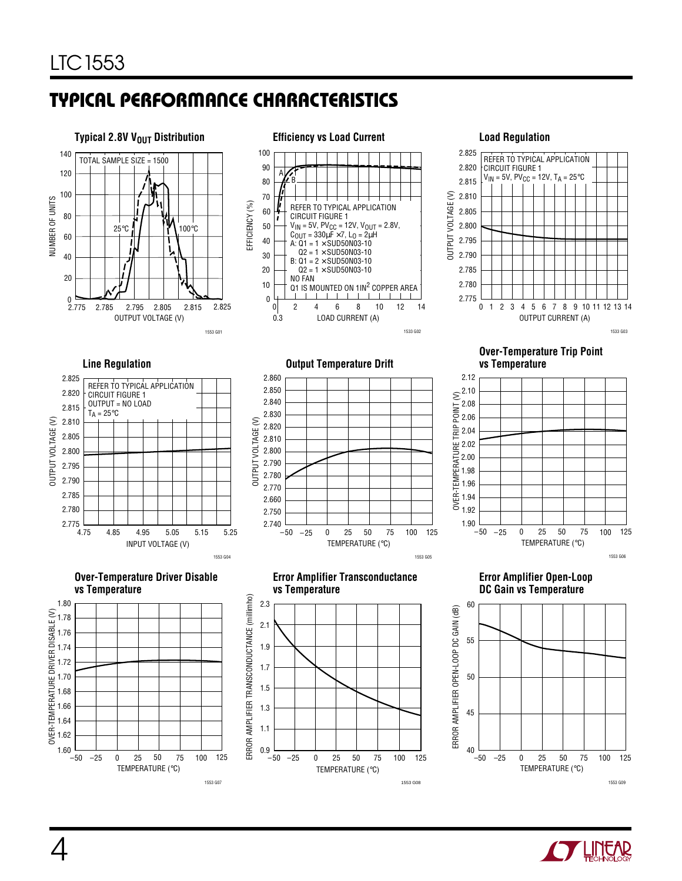# **TYPICAL PERFORMANCE CHARACTERISTICS U W**



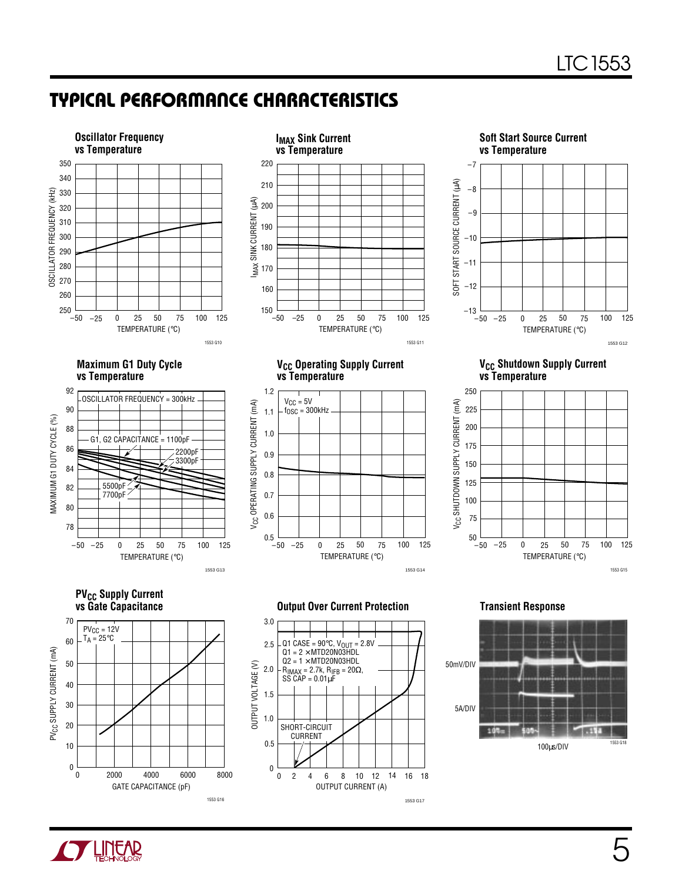### **TYPICAL PERFORMANCE CHARACTERISTICS U W**



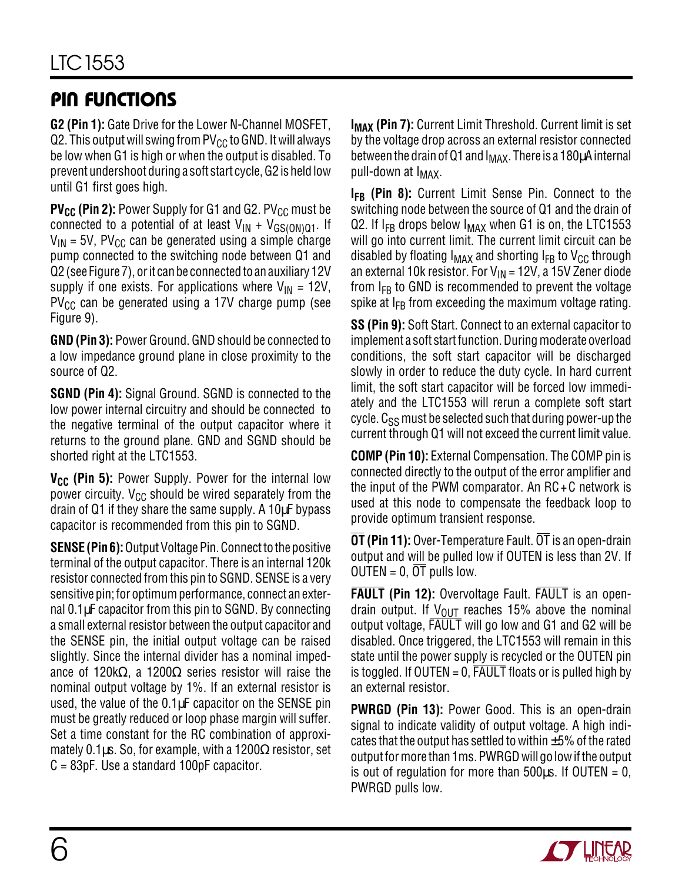## **PIN FUNCTIONS**

**G2 (Pin 1):** Gate Drive for the Lower N-Channel MOSFET, Q2. This output will swing from  $PV_{CC}$  to GND. It will always be low when G1 is high or when the output is disabled. To prevent undershoot during a soft start cycle, G2 is held low until G1 first goes high.

**PV<sub>CC</sub>** (Pin 2): Power Supply for G1 and G2. PV<sub>CC</sub> must be connected to a potential of at least  $V_{IN} + V_{GS(ON)Q1}$ . If  $V_{IN}$  = 5V, PV<sub>CC</sub> can be generated using a simple charge pump connected to the switching node between Q1 and Q2 (see Figure 7), or it can be connected to an auxiliary 12V supply if one exists. For applications where  $V_{IN} = 12V$ ,  $PV_{CC}$  can be generated using a 17V charge pump (see Figure 9).

**GND (Pin 3):** Power Ground. GND should be connected to a low impedance ground plane in close proximity to the source of Q2.

**SGND (Pin 4):** Signal Ground. SGND is connected to the low power internal circuitry and should be connected to the negative terminal of the output capacitor where it returns to the ground plane. GND and SGND should be shorted right at the LTC1553.

**V<sub>CC</sub>** (Pin 5): Power Supply. Power for the internal low power circuity.  $V_{CC}$  should be wired separately from the drain of Q1 if they share the same supply. A 10µF bypass capacitor is recommended from this pin to SGND.

**SENSE (Pin 6):** Output Voltage Pin. Connect to the positive terminal of the output capacitor. There is an internal 120k resistor connected from this pin to SGND. SENSE is a very sensitive pin; for optimum performance, connect an external  $0.1\mu$ F capacitor from this pin to SGND. By connecting a small external resistor between the output capacitor and the SENSE pin, the initial output voltage can be raised slightly. Since the internal divider has a nominal impedance of 120kΩ, a 1200Ω series resistor will raise the nominal output voltage by 1%. If an external resistor is used, the value of the 0.1µF capacitor on the SENSE pin must be greatly reduced or loop phase margin will suffer. Set a time constant for the RC combination of approximately 0.1 $\mu$ s. So, for example, with a 1200 $\Omega$  resistor, set C = 83pF. Use a standard 100pF capacitor.

**I<sub>MAX</sub> (Pin 7):** Current Limit Threshold. Current limit is set by the voltage drop across an external resistor connected between the drain of Q1 and  $I_{MAX}$ . There is a 180 $\mu$ A internal pull-down at  $I_{MAX}$ .

**I<sub>FB</sub>** (Pin 8): Current Limit Sense Pin. Connect to the switching node between the source of Q1 and the drain of Q2. If  $I_{FB}$  drops below  $I_{MAX}$  when G1 is on, the LTC1553 will go into current limit. The current limit circuit can be disabled by floating  $I_{MAX}$  and shorting  $I_{FB}$  to  $V_{CC}$  through an external 10k resistor. For  $V_{IN}$  = 12V, a 15V Zener diode from  $I_{FB}$  to GND is recommended to prevent the voltage spike at  $I_{FB}$  from exceeding the maximum voltage rating.

**SS (Pin 9):** Soft Start. Connect to an external capacitor to implement a soft start function. During moderate overload conditions, the soft start capacitor will be discharged slowly in order to reduce the duty cycle. In hard current limit, the soft start capacitor will be forced low immediately and the LTC1553 will rerun a complete soft start cycle.  $C_{SS}$  must be selected such that during power-up the current through Q1 will not exceed the current limit value.

**COMP (Pin 10):** External Compensation. The COMP pin is connected directly to the output of the error amplifier and the input of the PWM comparator. An RC+C network is used at this node to compensate the feedback loop to provide optimum transient response.

**OT (Pin 11):** Over-Temperature Fault. OT is an open-drain output and will be pulled low if OUTEN is less than 2V. If OUTEN =  $0, \overline{OT}$  pulls low.

**FAULT (Pin 12):** Overvoltage Fault. FAULT is an opendrain output. If  $V_{\text{OUT}}$  reaches 15% above the nominal output voltage, FAULT will go low and G1 and G2 will be disabled. Once triggered, the LTC1553 will remain in this state until the power supply is recycled or the OUTEN pin is toggled. If OUTEN = 0, FAULT floats or is pulled high by an external resistor.

**PWRGD (Pin 13):** Power Good. This is an open-drain signal to indicate validity of output voltage. A high indicates that the output has settled to within  $\pm 5\%$  of the rated output for more than 1ms. PWRGD will go low if the output is out of regulation for more than  $500\mu s$ . If OUTEN = 0, PWRGD pulls low.

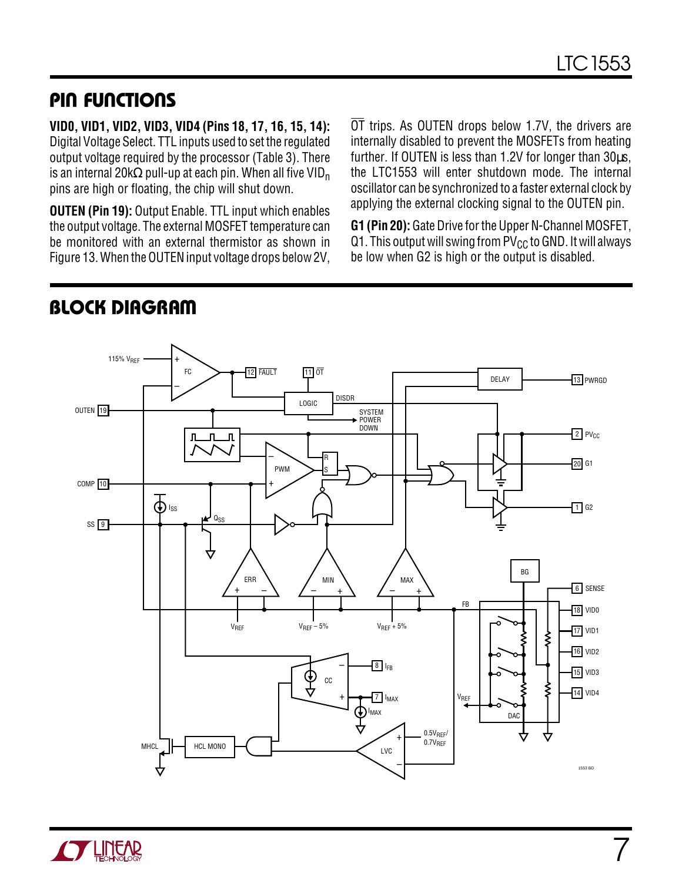### **PIN FUNCTIONS U UU**

**VID0, VID1, VID2, VID3, VID4 (Pins 18, 17, 16, 15, 14):** Digital Voltage Select. TTL inputs used to set the regulated output voltage required by the processor (Table 3). There is an internal 20k $\Omega$  pull-up at each pin. When all five VID<sub>n</sub> pins are high or floating, the chip will shut down.

**OUTEN (Pin 19):** Output Enable. TTL input which enables the output voltage. The external MOSFET temperature can be monitored with an external thermistor as shown in Figure 13. When the OUTEN input voltage drops below 2V,

OT trips. As OUTEN drops below 1.7V, the drivers are internally disabled to prevent the MOSFETs from heating further. If OUTEN is less than 1.2V for longer than 30µs, the LTC1553 will enter shutdown mode. The internal oscillator can be synchronized to a faster external clock by applying the external clocking signal to the OUTEN pin.

**G1 (Pin 20):** Gate Drive for the Upper N-Channel MOSFET, Q1. This output will swing from  $PV_{CC}$  to GND. It will always be low when G2 is high or the output is disabled.



# **BLOCK DIAGRAM**

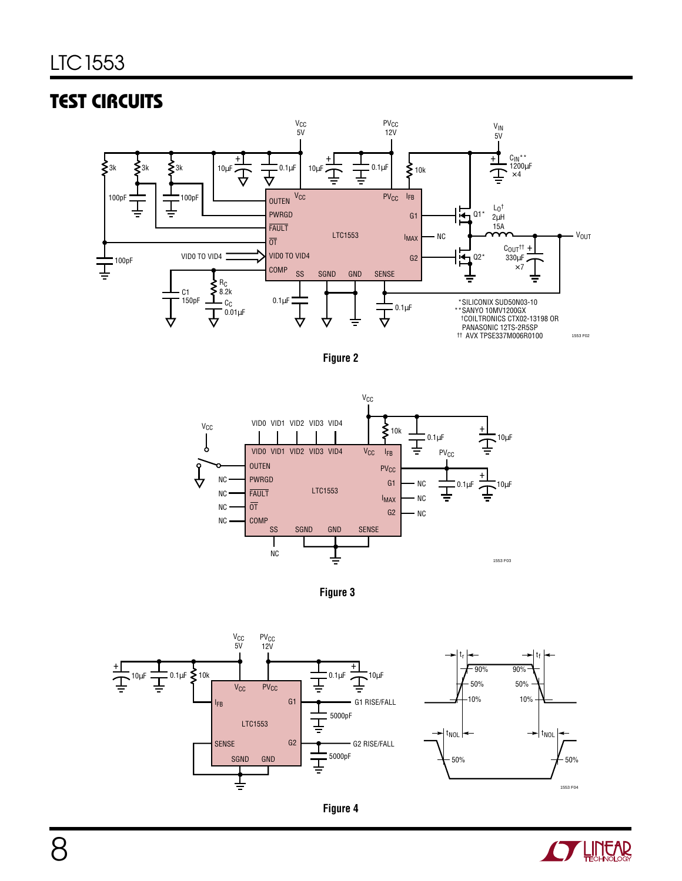# **TEST CIRCUITS**













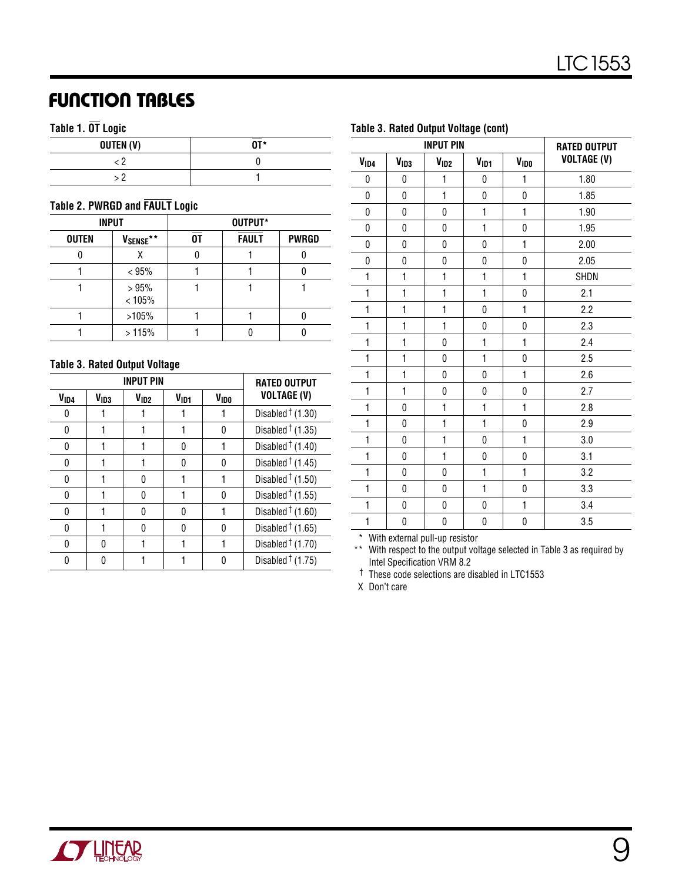### **FUNCTION TABLES**

#### **Table 1. OT Logic**

| OUTEN (V) | $\overline{\mathsf{NT}}$ * |
|-----------|----------------------------|
|           |                            |
|           |                            |

#### **Table 2. PWRGD and FAULT Logic**

| <b>INPUT</b> |                       |    | OUTPUT*      |              |
|--------------|-----------------------|----|--------------|--------------|
| <b>OUTEN</b> | V <sub>SENSE</sub> ** | NΤ | <b>FAULT</b> | <b>PWRGD</b> |
|              | x                     |    |              |              |
|              | < 95%                 |    |              |              |
|              | >95%<br>< 105%        |    |              |              |
|              | >105%                 |    |              |              |
|              | >115%                 |    |              |              |

#### **Table 3. Rated Output Voltage**

|                  | <b>INPUT PIN</b> | <b>RATED OUTPUT</b> |                  |                  |                            |
|------------------|------------------|---------------------|------------------|------------------|----------------------------|
| V <sub>ID4</sub> | V <sub>1D3</sub> | V <sub>ID2</sub>    | V <sub>ID1</sub> | V <sub>IDO</sub> | <b>VOLTAGE (V)</b>         |
| 0                |                  |                     |                  |                  | Disabled $\uparrow$ (1.30) |
| 0                |                  |                     |                  | 0                | Disabled $\dagger$ (1.35)  |
| 0                |                  |                     | N                |                  | Disabled $\dagger$ (1.40)  |
| 0                |                  |                     | N                | 0                | Disabled $\dagger$ (1.45)  |
| 0                |                  | U                   |                  |                  | Disabled $\dagger$ (1.50)  |
| 0                |                  | U                   |                  | 0                | Disabled $\dagger$ (1.55)  |
| 0                |                  |                     |                  |                  | Disabled $\dagger$ (1.60)  |
| 0                |                  |                     |                  | 0                | Disabled $\dagger$ (1.65)  |
| 0                | N                |                     |                  |                  | Disabled $\dagger$ (1.70)  |
| N                | n                |                     |                  | Ŋ                | Disabled $\dagger$ (1.75)  |

| Table 3. Rated Output Voltage (cont) |                  |                  |                  |                     |                    |  |  |
|--------------------------------------|------------------|------------------|------------------|---------------------|--------------------|--|--|
|                                      |                  | <b>INPUT PIN</b> |                  | <b>RATED OUTPUT</b> |                    |  |  |
| V <sub>ID4</sub>                     | V <sub>ID3</sub> | V <sub>ID2</sub> | V <sub>ID1</sub> | <b>VIDO</b>         | <b>VOLTAGE (V)</b> |  |  |
| 0                                    | 0                | 1                | 0                | 1                   | 1.80               |  |  |
| $\pmb{0}$                            | $\mathbf 0$      | $\mathbf{1}$     | $\pmb{0}$        | 0                   | 1.85               |  |  |
| 0                                    | 0                | 0                | $\mathbf{1}$     | $\mathbf{1}$        | 1.90               |  |  |
| 0                                    | 0                | 0                | $\mathbf{1}$     | 0                   | 1.95               |  |  |
| 0                                    | 0                | 0                | 0                | $\mathbf{1}$        | 2.00               |  |  |
| 0                                    | 0                | 0                | 0                | 0                   | 2.05               |  |  |
| $\mathbf{1}$                         | $\mathbf{1}$     | $\mathbf{1}$     | $\mathbf{1}$     | $\mathbf{1}$        | SHDN               |  |  |
| 1                                    | $\mathbf{1}$     | 1                | 1                | 0                   | 2.1                |  |  |
| $\mathbf{1}$                         | $\mathbf{1}$     | 1                | 0                | $\mathbf{1}$        | 2.2                |  |  |
| $\mathbf{1}$                         | $\mathbf{1}$     | 1                | $\pmb{0}$        | 0                   | 2.3                |  |  |
| $\mathbf{1}$                         | $\mathbf{1}$     | 0                | $\mathbf{1}$     | $\mathbf{1}$        | 2.4                |  |  |
| $\mathbf{1}$                         | $\mathbf{1}$     | 0                | $\mathbf{1}$     | $\pmb{0}$           | 2.5                |  |  |
| $\mathbf{1}$                         | $\mathbf{1}$     | 0                | $\pmb{0}$        | $\mathbf{1}$        | 2.6                |  |  |
| 1                                    | $\mathbf{1}$     | 0                | $\pmb{0}$        | 0                   | 2.7                |  |  |
| $\mathbf{1}$                         | $\mathbf 0$      | $\mathbf{1}$     | $\mathbf{1}$     | $\mathbf{1}$        | 2.8                |  |  |
| $\mathbf{1}$                         | $\mathbf{0}$     | $\mathbf{1}$     | $\mathbf{1}$     | 0                   | 2.9                |  |  |
| $\mathbf{1}$                         | 0                | $\mathbf{1}$     | $\mathbf 0$      | $\mathbf{1}$        | 3.0                |  |  |
| $\mathbf{1}$                         | $\mathbf 0$      | 1                | $\pmb{0}$        | 0                   | 3.1                |  |  |
| $\mathbf{1}$                         | 0                | $\mathbf 0$      | $\mathbf{1}$     | $\mathbf{1}$        | 3.2                |  |  |
| 1                                    | 0                | 0                | 1                | $\mathbf 0$         | 3.3                |  |  |
| 1                                    | 0                | 0                | $\mathbf 0$      | $\mathbf{1}$        | 3.4                |  |  |
| $\mathbf{1}$                         | $\mathbf{0}$     | $\pmb{0}$        | $\pmb{0}$        | $\pmb{0}$           | 3.5                |  |  |

\* With external pull-up resistor

\*\* With respect to the output voltage selected in Table 3 as required by Intel Specification VRM 8.2

† These code selections are disabled in LTC1553

X Don't care

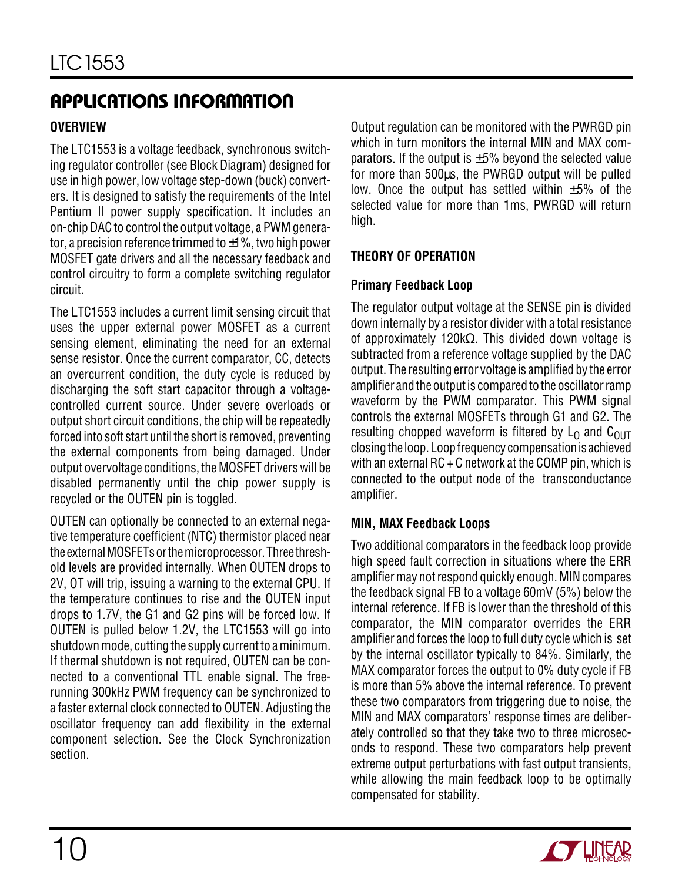### **OVERVIEW**

The LTC1553 is a voltage feedback, synchronous switching regulator controller (see Block Diagram) designed for use in high power, low voltage step-down (buck) converters. It is designed to satisfy the requirements of the Intel Pentium II power supply specification. It includes an on-chip DAC to control the output voltage, a PWM generator, a precision reference trimmed to  $\pm 1\%$ , two high power MOSFET gate drivers and all the necessary feedback and control circuitry to form a complete switching regulator circuit.

The LTC1553 includes a current limit sensing circuit that uses the upper external power MOSFET as a current sensing element, eliminating the need for an external sense resistor. Once the current comparator, CC, detects an overcurrent condition, the duty cycle is reduced by discharging the soft start capacitor through a voltagecontrolled current source. Under severe overloads or output short circuit conditions, the chip will be repeatedly forced into soft start until the short is removed, preventing the external components from being damaged. Under output overvoltage conditions, the MOSFET drivers will be disabled permanently until the chip power supply is recycled or the OUTEN pin is toggled.

OUTEN can optionally be connected to an external negative temperature coefficient (NTC) thermistor placed near the external MOSFETs or the microprocessor. Three threshold levels are provided internally. When OUTEN drops to 2V, OT will trip, issuing a warning to the external CPU. If the temperature continues to rise and the OUTEN input drops to 1.7V, the G1 and G2 pins will be forced low. If OUTEN is pulled below 1.2V, the LTC1553 will go into shutdown mode, cutting the supply current to a minimum. If thermal shutdown is not required, OUTEN can be connected to a conventional TTL enable signal. The freerunning 300kHz PWM frequency can be synchronized to a faster external clock connected to OUTEN. Adjusting the oscillator frequency can add flexibility in the external component selection. See the Clock Synchronization section.

Output regulation can be monitored with the PWRGD pin which in turn monitors the internal MIN and MAX comparators. If the output is  $\pm 5\%$  beyond the selected value for more than 500µs, the PWRGD output will be pulled low. Once the output has settled within  $\pm 5\%$  of the selected value for more than 1ms, PWRGD will return high.

#### **THEORY OF OPERATION**

#### **Primary Feedback Loop**

The regulator output voltage at the SENSE pin is divided down internally by a resistor divider with a total resistance of approximately 120kΩ. This divided down voltage is subtracted from a reference voltage supplied by the DAC output. The resulting error voltage is amplified by the error amplifier and the output is compared to the oscillator ramp waveform by the PWM comparator. This PWM signal controls the external MOSFETs through G1 and G2. The resulting chopped waveform is filtered by  $L_0$  and  $C_{OUT}$ closing the loop. Loop frequency compensation is achieved with an external  $RC + C$  network at the COMP pin, which is connected to the output node of the transconductance amplifier.

#### **MIN, MAX Feedback Loops**

Two additional comparators in the feedback loop provide high speed fault correction in situations where the ERR amplifier may not respond quickly enough. MIN compares the feedback signal FB to a voltage 60mV (5%) below the internal reference. If FB is lower than the threshold of this comparator, the MIN comparator overrides the ERR amplifier and forces the loop to full duty cycle which is set by the internal oscillator typically to 84%. Similarly, the MAX comparator forces the output to 0% duty cycle if FB is more than 5% above the internal reference. To prevent these two comparators from triggering due to noise, the MIN and MAX comparators' response times are deliberately controlled so that they take two to three microseconds to respond. These two comparators help prevent extreme output perturbations with fast output transients, while allowing the main feedback loop to be optimally compensated for stability.

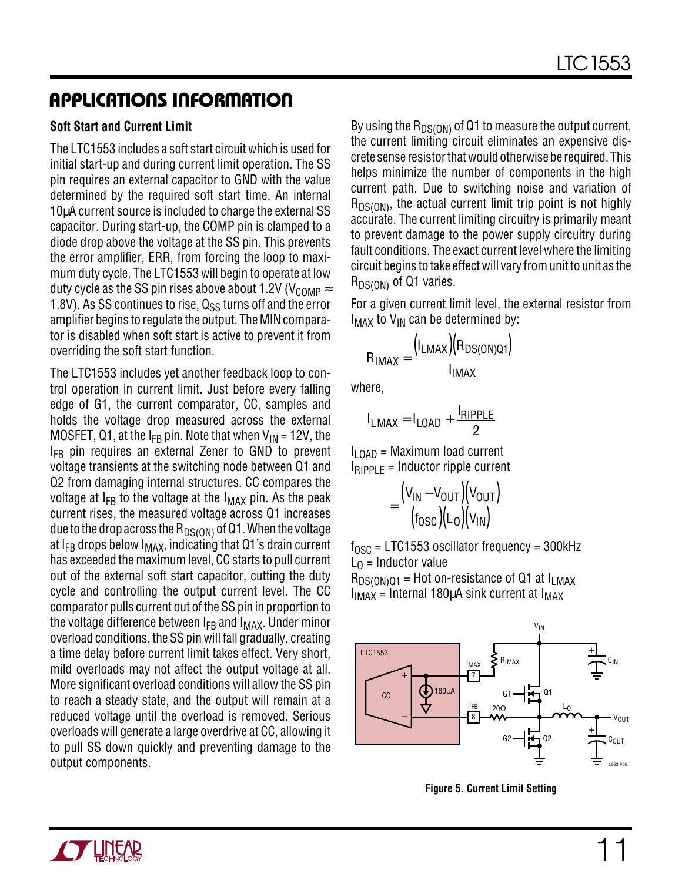#### **Soft Start and Current Limit**

The LTC1553 includes a soft start circuit which is used for initial start-up and during current limit operation. The SS pin requires an external capacitor to GND with the value determined by the required soft start time. An internal 10µA current source is included to charge the external SS capacitor. During start-up, the COMP pin is clamped to a diode drop above the voltage at the SS pin. This prevents the error amplifier, ERR, from forcing the loop to maximum duty cycle. The LTC1553 will begin to operate at low duty cycle as the SS pin rises above about 1.2V ( $V_{\text{COMP}} \approx$ 1.8V). As SS continues to rise,  $Q_{SS}$  turns off and the error amplifier begins to regulate the output. The MIN comparator is disabled when soft start is active to prevent it from overriding the soft start function.

The LTC1553 includes yet another feedback loop to control operation in current limit. Just before every falling edge of G1, the current comparator, CC, samples and holds the voltage drop measured across the external MOSFET, Q1, at the  $I_{FR}$  pin. Note that when  $V_{IN}$  = 12V, the  $I_{FB}$  pin requires an external Zener to GND to prevent voltage transients at the switching node between Q1 and Q2 from damaging internal structures. CC compares the voltage at  $I_{FB}$  to the voltage at the  $I_{MAX}$  pin. As the peak current rises, the measured voltage across Q1 increases due to the drop across the  $R_{DS(ON)}$  of Q1. When the voltage at  $I_{FB}$  drops below  $I_{MAX}$ , indicating that Q1's drain current has exceeded the maximum level, CC starts to pull current out of the external soft start capacitor, cutting the duty cycle and controlling the output current level. The CC comparator pulls current out of the SS pin in proportion to the voltage difference between  $I_{FB}$  and  $I_{MAX}$ . Under minor overload conditions, the SS pin will fall gradually, creating a time delay before current limit takes effect. Very short, mild overloads may not affect the output voltage at all. More significant overload conditions will allow the SS pin to reach a steady state, and the output will remain at a reduced voltage until the overload is removed. Serious overloads will generate a large overdrive at CC, allowing it to pull SS down quickly and preventing damage to the output components.

By using the  $R_{DS(ON)}$  of Q1 to measure the output current, the current limiting circuit eliminates an expensive discrete sense resistor that would otherwise be required. This helps minimize the number of components in the high current path. Due to switching noise and variation of  $R_{DS(ON)}$ , the actual current limit trip point is not highly accurate. The current limiting circuitry is primarily meant to prevent damage to the power supply circuitry during fault conditions. The exact current level where the limiting circuit begins to take effect will vary from unit to unit as the  $R_{DS(ON)}$  of Q1 varies.

For a given current limit level, the external resistor from  $I_{MAX}$  to  $V_{IN}$  can be determined by:

$$
R_{IMAX} = \frac{(I_{LMAX})(R_{DS(ON)Q1})}{I_{IMAX}}
$$

where,

$$
I_{LMAX} = I_{LOAD} + \frac{I_{RIPPLE}}{2}
$$

 $I_{\text{LOAD}}$  = Maximum load current  $I_{RIPPIF}$  = Inductor ripple current

$$
= \frac{(V_{\text{IN}} - V_{\text{OUT}})(V_{\text{OUT}})}{(f_{\text{OSC}})(L_{\text{O}})(V_{\text{IN}})}
$$

 $f_{\text{OSC}}$  = LTC1553 oscillator frequency = 300kHz  $L_0$  = Inductor value

 $R_{DS(ON)Q1}$  = Hot on-resistance of Q1 at  $I_{LMAX}$  $I_{IMAX}$  = Internal 180 $\mu$ A sink current at  $I_{MAX}$ 



**Figure 5. Current Limit Setting**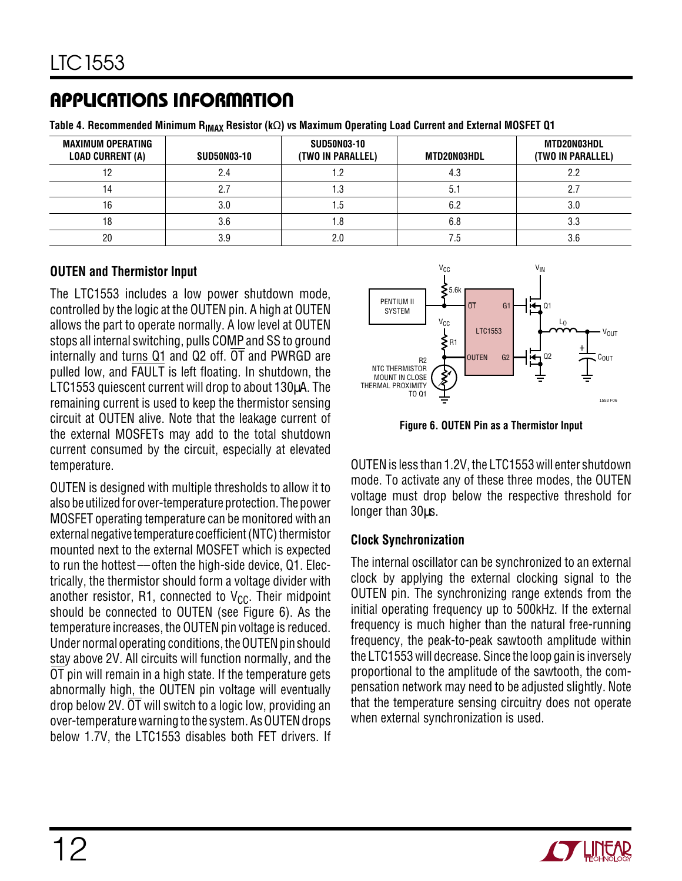Table 4. Recommended Minimum R<sub>IMAX</sub> Resistor (kΩ) vs Maximum Operating Load Current and External MOSFET Q1

| <b>MAXIMUM OPERATING</b><br><b>LOAD CURRENT (A)</b> | <b>SUD50N03-10</b> | <b>SUD50N03-10</b><br>(TWO IN PARALLEL) | MTD20N03HDL | MTD20N03HDL<br>(TWO IN PARALLEL) |
|-----------------------------------------------------|--------------------|-----------------------------------------|-------------|----------------------------------|
|                                                     | 2.4                |                                         | 4.3         | 2.2                              |
|                                                     | 2.7                |                                         | 5.1         |                                  |
| 16                                                  | 3.0                | د.،                                     | 6.2         | 3.0                              |
|                                                     | 3.6                |                                         | 6.8         | 3.3                              |
| 20                                                  | 3.9                | 2.0                                     | ⁄ .5        | 3.6                              |

#### **OUTEN and Thermistor Input**

The LTC1553 includes a low power shutdown mode, controlled by the logic at the OUTEN pin. A high at OUTEN allows the part to operate normally. A low level at OUTEN stops all internal switching, pulls COMP and SS to ground internally and turns Q1 and Q2 off. OT and PWRGD are pulled low, and FAULT is left floating. In shutdown, the LTC1553 quiescent current will drop to about 130µA. The remaining current is used to keep the thermistor sensing circuit at OUTEN alive. Note that the leakage current of the external MOSFETs may add to the total shutdown current consumed by the circuit, especially at elevated temperature.

OUTEN is designed with multiple thresholds to allow it to also be utilized for over-temperature protection. The power MOSFET operating temperature can be monitored with an external negative temperature coefficient (NTC) thermistor mounted next to the external MOSFET which is expected to run the hottest––often the high-side device, Q1. Electrically, the thermistor should form a voltage divider with another resistor, R1, connected to  $V_{CC}$ . Their midpoint should be connected to OUTEN (see Figure 6). As the temperature increases, the OUTEN pin voltage is reduced. Under normal operating conditions, the OUTEN pin should stay above 2V. All circuits will function normally, and the  $\overline{OT}$  pin will remain in a high state. If the temperature gets abnormally high, the OUTEN pin voltage will eventually drop below 2V.  $\overline{OT}$  will switch to a logic low, providing an over-temperature warning to the system. As OUTEN drops below 1.7V, the LTC1553 disables both FET drivers. If



**Figure 6. OUTEN Pin as a Thermistor Input**

OUTEN is less than 1.2V, the LTC1553 will enter shutdown mode. To activate any of these three modes, the OUTEN voltage must drop below the respective threshold for longer than 30µs.

#### **Clock Synchronization**

The internal oscillator can be synchronized to an external clock by applying the external clocking signal to the OUTEN pin. The synchronizing range extends from the initial operating frequency up to 500kHz. If the external frequency is much higher than the natural free-running frequency, the peak-to-peak sawtooth amplitude within the LTC1553 will decrease. Since the loop gain is inversely proportional to the amplitude of the sawtooth, the compensation network may need to be adjusted slightly. Note that the temperature sensing circuitry does not operate when external synchronization is used.

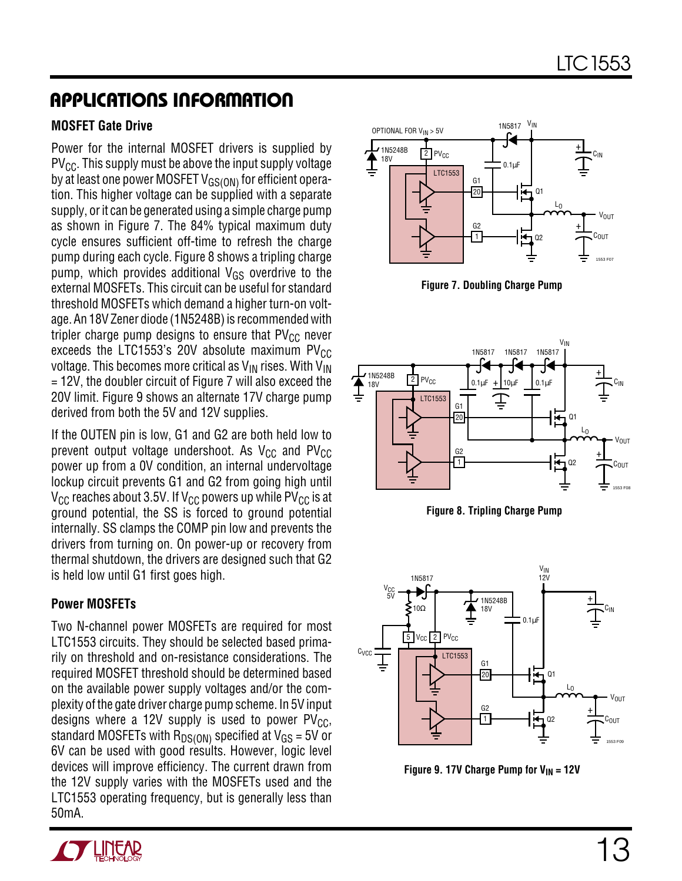#### **MOSFET Gate Drive**

Power for the internal MOSFET drivers is supplied by  $PV_{CC}$ . This supply must be above the input supply voltage by at least one power MOSFET  $V_{GS(ON)}$  for efficient operation. This higher voltage can be supplied with a separate supply, or it can be generated using a simple charge pump as shown in Figure 7. The 84% typical maximum duty cycle ensures sufficient off-time to refresh the charge pump during each cycle. Figure 8 shows a tripling charge pump, which provides additional  $V_{GS}$  overdrive to the external MOSFETs. This circuit can be useful for standard threshold MOSFETs which demand a higher turn-on voltage. An 18V Zener diode (1N5248B) is recommended with tripler charge pump designs to ensure that  $PV_{CC}$  never exceeds the LTC1553's 20V absolute maximum  $PV_{CC}$ voltage. This becomes more critical as  $V_{IN}$  rises. With  $V_{IN}$ = 12V, the doubler circuit of Figure 7 will also exceed the 20V limit. Figure 9 shows an alternate 17V charge pump derived from both the 5V and 12V supplies.

If the OUTEN pin is low, G1 and G2 are both held low to prevent output voltage undershoot. As  $V_{CC}$  and  $PV_{CC}$ power up from a 0V condition, an internal undervoltage lockup circuit prevents G1 and G2 from going high until  $V_{\text{CC}}$  reaches about 3.5V. If  $V_{\text{CC}}$  powers up while PV<sub>CC</sub> is at ground potential, the SS is forced to ground potential internally. SS clamps the COMP pin low and prevents the drivers from turning on. On power-up or recovery from thermal shutdown, the drivers are designed such that G2 is held low until G1 first goes high.

#### **Power MOSFETs**

Two N-channel power MOSFETs are required for most LTC1553 circuits. They should be selected based primarily on threshold and on-resistance considerations. The required MOSFET threshold should be determined based on the available power supply voltages and/or the complexity of the gate driver charge pump scheme. In 5V input designs where a 12V supply is used to power  $PV_{CC}$ , standard MOSFETs with  $R_{DS(ON)}$  specified at  $V_{GS}$  = 5V or 6V can be used with good results. However, logic level devices will improve efficiency. The current drawn from the 12V supply varies with the MOSFETs used and the LTC1553 operating frequency, but is generally less than 50mA.



**Figure 7. Doubling Charge Pump**







Figure 9. 17V Charge Pump for V<sub>IN</sub> = 12V

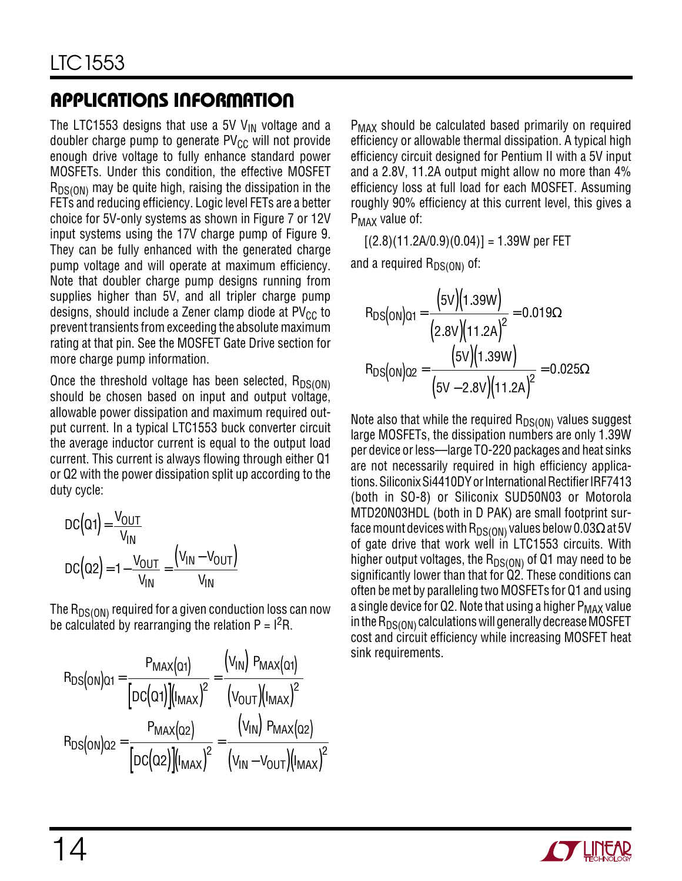The LTC1553 designs that use a 5V  $V_{IN}$  voltage and a doubler charge pump to generate  $PV_{CC}$  will not provide enough drive voltage to fully enhance standard power MOSFETs. Under this condition, the effective MOSFET  $R_{DS(ON)}$  may be quite high, raising the dissipation in the FETs and reducing efficiency. Logic level FETs are a better choice for 5V-only systems as shown in Figure 7 or 12V input systems using the 17V charge pump of Figure 9. They can be fully enhanced with the generated charge pump voltage and will operate at maximum efficiency. Note that doubler charge pump designs running from supplies higher than 5V, and all tripler charge pump designs, should include a Zener clamp diode at  $PV_{CC}$  to prevent transients from exceeding the absolute maximum rating at that pin. See the MOSFET Gate Drive section for more charge pump information.

Once the threshold voltage has been selected,  $R_{DS(ON)}$ should be chosen based on input and output voltage, allowable power dissipation and maximum required output current. In a typical LTC1553 buck converter circuit the average inductor current is equal to the output load current. This current is always flowing through either Q1 or Q2 with the power dissipation split up according to the duty cycle:

$$
DC(Q1) = \frac{V_{OUT}}{V_{IN}}
$$

$$
DC(Q2) = 1 - \frac{V_{OUT}}{V_{IN}} = \frac{(V_{IN} - V_{OUT})}{V_{IN}}
$$

The  $R_{DS(ON)}$  required for a given conduction loss can now be calculated by rearranging the relation  $P = I<sup>2</sup>R$ .

$$
R_{DS(ON)Q1} = \frac{P_{MAX}(Q1)}{[DC(Q1)][I_{MAX})^2} = \frac{(V_{IN})[P_{MAX}(Q1)]}{(V_{OUT})(I_{MAX})^2}
$$

$$
R_{DS(ON)Q2} = \frac{P_{MAX}(Q2)}{[DC(Q2)][I_{MAX})^2} = \frac{(V_{IN})[P_{MAX}(Q2)]}{(V_{IN} - V_{OUT})(I_{MAX})^2}
$$

P<sub>MAX</sub> should be calculated based primarily on required efficiency or allowable thermal dissipation. A typical high efficiency circuit designed for Pentium II with a 5V input and a 2.8V, 11.2A output might allow no more than 4% efficiency loss at full load for each MOSFET. Assuming roughly 90% efficiency at this current level, this gives a P<sub>MAX</sub> value of:

 $[(2.8)(11.2A/0.9)(0.04)] = 1.39W$  per FET

and a required  $R_{DS(ON)}$  of:

$$
R_{DS(ON)Q1} = \frac{(5V)(1.39W)}{(2.8V)(11.2A)^{2}} = 0.019\Omega
$$
  

$$
R_{DS(ON)Q2} = \frac{(5V)(1.39W)}{(5V - 2.8V)(11.2A)^{2}} = 0.025\Omega
$$

Note also that while the required  $R_{DS(ON)}$  values suggest large MOSFETs, the dissipation numbers are only 1.39W per device or less––large TO-220 packages and heat sinks are not necessarily required in high efficiency applications. Siliconix Si4410DY or International Rectifier IRF7413 (both in SO-8) or Siliconix SUD50N03 or Motorola MTD20N03HDL (both in D PAK) are small footprint surface mount devices with R<sub>DS(ON)</sub> values below 0.03 $\Omega$  at 5V of gate drive that work well in LTC1553 circuits. With higher output voltages, the  $R_{DS(ON)}$  of Q1 may need to be significantly lower than that for Q2. These conditions can often be met by paralleling two MOSFETs for Q1 and using a single device for Q2. Note that using a higher  $P_{MAX}$  value in the  $R_{DS(ON)}$  calculations will generally decrease MOSFET cost and circuit efficiency while increasing MOSFET heat sink requirements.

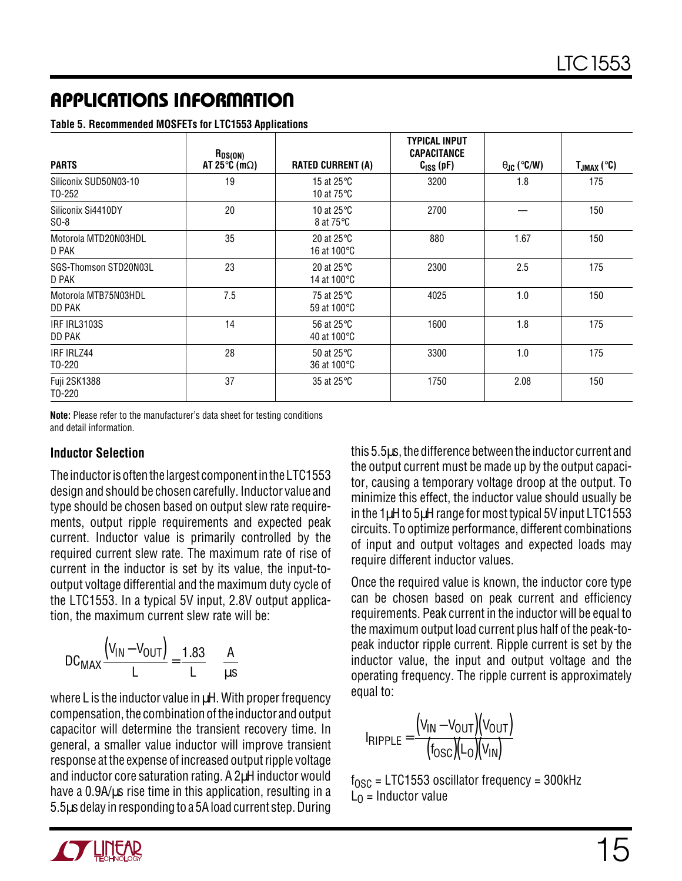**Table 5. Recommended MOSFETs for LTC1553 Applications**

| <b>PARTS</b>                    | $R_{DS(ON)}$<br>AT 25 $\degree$ C (m $\Omega$ ) | <b>RATED CURRENT (A)</b>                              | <b>TYPICAL INPUT</b><br><b>CAPACITANCE</b><br>$CISS$ (pF) | $\theta_{\text{JC}}$ (°C/W) | $T_{JMAX}$ (°C) |
|---------------------------------|-------------------------------------------------|-------------------------------------------------------|-----------------------------------------------------------|-----------------------------|-----------------|
| Siliconix SUD50N03-10<br>T0-252 | 19                                              | 15 at 25 $\mathrm{^{\circ}C}$<br>10 at $75^{\circ}$ C | 3200                                                      | 1.8                         | 175             |
| Siliconix Si4410DY<br>$SO-8$    | 20                                              | 10 at 25 $\degree$ C<br>8 at 75 °C                    | 2700                                                      |                             | 150             |
| Motorola MTD20N03HDL<br>D PAK   | 35                                              | 20 at $25^{\circ}$ C<br>16 at 100°C                   | 880                                                       | 1.67                        | 150             |
| SGS-Thomson STD20N03L<br>D PAK  | 23                                              | 20 at $25^{\circ}$ C<br>14 at 100°C                   | 2300                                                      | 2.5                         | 175             |
| Motorola MTB75N03HDL<br>DD PAK  | 7.5                                             | 75 at 25°C<br>59 at 100 °C                            | 4025                                                      | 1.0                         | 150             |
| IRF IRL3103S<br>DD PAK          | 14                                              | 56 at 25 °C<br>40 at 100 °C                           | 1600                                                      | 1.8                         | 175             |
| IRF IRLZ44<br>T0-220            | 28                                              | 50 at 25 $\degree$ C<br>36 at 100 °C                  | 3300                                                      | 1.0                         | 175             |
| Fuji 2SK1388<br>T0-220          | 37                                              | 35 at 25 °C                                           | 1750                                                      | 2.08                        | 150             |

**Note:** Please refer to the manufacturer's data sheet for testing conditions and detail information.

#### **Inductor Selection**

The inductor is often the largest component in the LTC1553 design and should be chosen carefully. Inductor value and type should be chosen based on output slew rate requirements, output ripple requirements and expected peak current. Inductor value is primarily controlled by the required current slew rate. The maximum rate of rise of current in the inductor is set by its value, the input-tooutput voltage differential and the maximum duty cycle of the LTC1553. In a typical 5V input, 2.8V output application, the maximum current slew rate will be:

$$
DC_{MAX} \frac{(V_{IN} - V_{OUT})}{L} = \frac{1.83}{L} \frac{A}{\mu s}
$$

where L is the inductor value in  $\mu$ H. With proper frequency compensation, the combination of the inductor and output capacitor will determine the transient recovery time. In general, a smaller value inductor will improve transient response at the expense of increased output ripple voltage and inductor core saturation rating. A 2µH inductor would have a 0.9A/us rise time in this application, resulting in a 5.5µs delay in responding to a 5A load current step. During

this 5.5µs, the difference between the inductor current and the output current must be made up by the output capacitor, causing a temporary voltage droop at the output. To minimize this effect, the inductor value should usually be in the 1µH to 5µH range for most typical 5V input LTC1553 circuits. To optimize performance, different combinations of input and output voltages and expected loads may require different inductor values.

Once the required value is known, the inductor core type can be chosen based on peak current and efficiency requirements. Peak current in the inductor will be equal to the maximum output load current plus half of the peak-topeak inductor ripple current. Ripple current is set by the inductor value, the input and output voltage and the operating frequency. The ripple current is approximately equal to:

$$
I_{RIPPLE} = \frac{(V_{IN} - V_{OUT})(V_{OUT})}{(f_{OSC})(L_0)(V_{IN})}
$$

 $f_{\text{OSC}}$  = LTC1553 oscillator frequency = 300kHz  $L_0$  = Inductor value

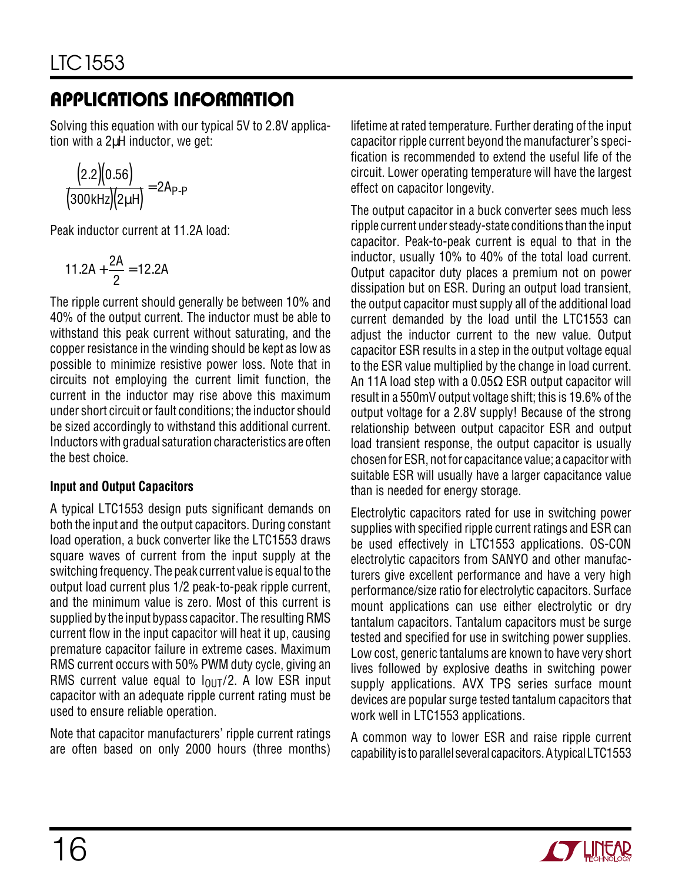Solving this equation with our typical 5V to 2.8V application with a 2µH inductor, we get:

$$
\frac{\big(2.2\big)\!\!\big(0.56\big)}{\big(300\text{kHz}\big)\!\!\big(2\mu\text{H}\big)}\!=\!2A_{\text{P-P}}
$$

Peak inductor current at 11.2A load:

$$
11.2A + \frac{2A}{2} = 12.2A
$$

The ripple current should generally be between 10% and 40% of the output current. The inductor must be able to withstand this peak current without saturating, and the copper resistance in the winding should be kept as low as possible to minimize resistive power loss. Note that in circuits not employing the current limit function, the current in the inductor may rise above this maximum under short circuit or fault conditions; the inductor should be sized accordingly to withstand this additional current. Inductors with gradual saturation characteristics are often the best choice.

#### **Input and Output Capacitors**

A typical LTC1553 design puts significant demands on both the input and the output capacitors. During constant load operation, a buck converter like the LTC1553 draws square waves of current from the input supply at the switching frequency. The peak current value is equal to the output load current plus 1/2 peak-to-peak ripple current, and the minimum value is zero. Most of this current is supplied by the input bypass capacitor. The resulting RMS current flow in the input capacitor will heat it up, causing premature capacitor failure in extreme cases. Maximum RMS current occurs with 50% PWM duty cycle, giving an RMS current value equal to  $I_{\text{OIII}}/2$ . A low ESR input capacitor with an adequate ripple current rating must be used to ensure reliable operation.

Note that capacitor manufacturers' ripple current ratings are often based on only 2000 hours (three months) lifetime at rated temperature. Further derating of the input capacitor ripple current beyond the manufacturer's specification is recommended to extend the useful life of the circuit. Lower operating temperature will have the largest effect on capacitor longevity.

The output capacitor in a buck converter sees much less ripple current under steady-state conditions than the input capacitor. Peak-to-peak current is equal to that in the inductor, usually 10% to 40% of the total load current. Output capacitor duty places a premium not on power dissipation but on ESR. During an output load transient, the output capacitor must supply all of the additional load current demanded by the load until the LTC1553 can adjust the inductor current to the new value. Output capacitor ESR results in a step in the output voltage equal to the ESR value multiplied by the change in load current. An 11A load step with a 0.05 $\Omega$  ESR output capacitor will result in a 550mV output voltage shift; this is 19.6% of the output voltage for a 2.8V supply! Because of the strong relationship between output capacitor ESR and output load transient response, the output capacitor is usually chosen for ESR, not for capacitance value; a capacitor with suitable ESR will usually have a larger capacitance value than is needed for energy storage.

Electrolytic capacitors rated for use in switching power supplies with specified ripple current ratings and ESR can be used effectively in LTC1553 applications. OS-CON electrolytic capacitors from SANYO and other manufacturers give excellent performance and have a very high performance/size ratio for electrolytic capacitors. Surface mount applications can use either electrolytic or dry tantalum capacitors. Tantalum capacitors must be surge tested and specified for use in switching power supplies. Low cost, generic tantalums are known to have very short lives followed by explosive deaths in switching power supply applications. AVX TPS series surface mount devices are popular surge tested tantalum capacitors that work well in LTC1553 applications.

A common way to lower ESR and raise ripple current capability is to parallel several capacitors. A typical LTC1553

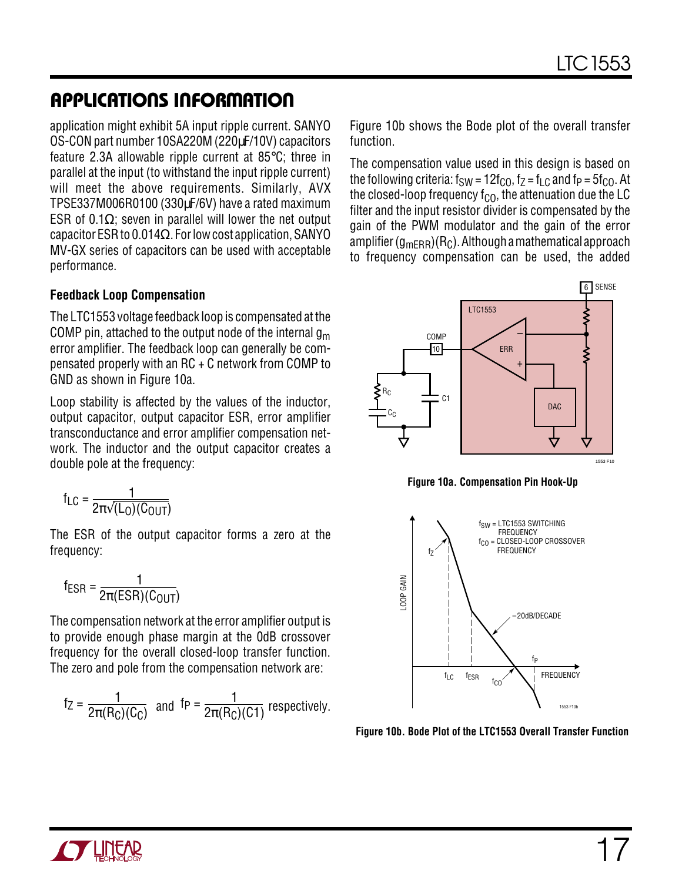application might exhibit 5A input ripple current. SANYO OS-CON part number 10SA220M (220µF/10V) capacitors feature 2.3A allowable ripple current at 85°C; three in parallel at the input (to withstand the input ripple current) will meet the above requirements. Similarly, AVX TPSE337M006R0100 (330µF/6V) have a rated maximum ESR of 0.1 $\Omega$ ; seven in parallel will lower the net output capacitor ESR to 0.014 $\Omega$ . For low cost application, SANYO MV-GX series of capacitors can be used with acceptable performance.

#### **Feedback Loop Compensation**

The LTC1553 voltage feedback loop is compensated at the COMP pin, attached to the output node of the internal  $g_m$ error amplifier. The feedback loop can generally be compensated properly with an RC + C network from COMP to GND as shown in Figure 10a.

Loop stability is affected by the values of the inductor, output capacitor, output capacitor ESR, error amplifier transconductance and error amplifier compensation network. The inductor and the output capacitor creates a double pole at the frequency:

$$
f_{LC} = \frac{1}{2\pi\sqrt{(L_0)(C_{OUT})}}
$$

The ESR of the output capacitor forms a zero at the frequency:

$$
f_{ESR} = \frac{1}{2\pi(ESR)(C_{OUT})}
$$

The compensation network at the error amplifier output is to provide enough phase margin at the 0dB crossover frequency for the overall closed-loop transfer function. The zero and pole from the compensation network are:

$$
f_Z = \frac{1}{2\pi(R_C)(C_C)}
$$
 and  $f_P = \frac{1}{2\pi(R_C)(C_1)}$  respectively.

Figure 10b shows the Bode plot of the overall transfer function.

The compensation value used in this design is based on the following criteria:  $f_{SW} = 12f_{CO}$ ,  $f_Z = f_{LC}$  and  $f_P = 5f_{CO}$ . At the closed-loop frequency  $f_{\text{CO}}$ , the attenuation due the LC filter and the input resistor divider is compensated by the gain of the PWM modulator and the gain of the error amplifier  $(g_{mERR})(R_C)$ . Although a mathematical approach to frequency compensation can be used, the added



**Figure 10a. Compensation Pin Hook-Up**



**Figure 10b. Bode Plot of the LTC1553 Overall Transfer Function**

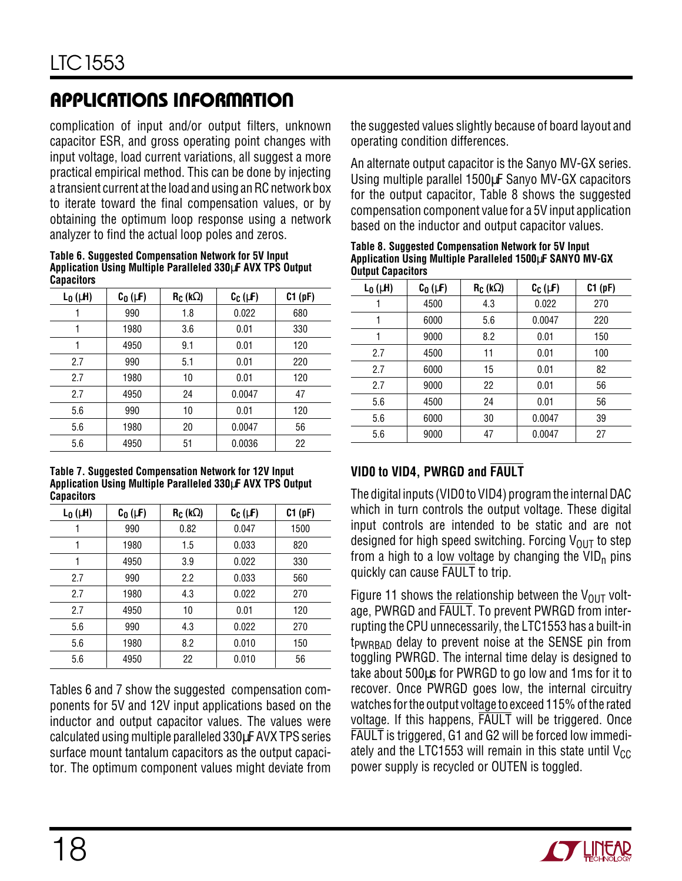complication of input and/or output filters, unknown capacitor ESR, and gross operating point changes with input voltage, load current variations, all suggest a more practical empirical method. This can be done by injecting a transient current at the load and using an RC network box to iterate toward the final compensation values, or by obtaining the optimum loop response using a network analyzer to find the actual loop poles and zeros.

**Table 6. Suggested Compensation Network for 5V Input Application Using Multiple Paralleled 330**µ**F AVX TPS Output Capacitors**

| $L_0$ ( $\mu$ H) | $C_0$ ( $\mu$ F) | $R_C$ (k $\Omega$ ) | $C_C(\mu F)$ | C1(pF) |
|------------------|------------------|---------------------|--------------|--------|
|                  | 990              | 1.8                 | 0.022        | 680    |
|                  | 1980             | 3.6                 | 0.01         | 330    |
|                  | 4950             | 9.1                 | 0.01         | 120    |
| 2.7              | 990              | 5.1                 | 0.01         | 220    |
| 2.7              | 1980             | 10                  | 0.01         | 120    |
| 2.7              | 4950             | 24                  | 0.0047       | 47     |
| 5.6              | 990              | 10                  | 0.01         | 120    |
| 5.6              | 1980             | 20                  | 0.0047       | 56     |
| 5.6              | 4950             | 51                  | 0.0036       | 22     |

**Table 7. Suggested Compensation Network for 12V Input Application Using Multiple Paralleled 330**µ**F AVX TPS Output Capacitors**

| $L_0$ ( $\mu$ H) | $C_0$ ( $\mu$ F) | $R_C$ (k $\Omega$ ) | $C_C(\mu F)$ | C1(pF) |
|------------------|------------------|---------------------|--------------|--------|
|                  | 990              | 0.82                | 0.047        | 1500   |
|                  | 1980             | 1.5                 | 0.033        | 820    |
|                  | 4950             | 3.9                 | 0.022        | 330    |
| 2.7              | 990              | 2.2                 | 0.033        | 560    |
| 2.7              | 1980             | 4.3                 | 0.022        | 270    |
| 2.7              | 4950             | 10                  | 0.01         | 120    |
| 5.6              | 990              | 4.3                 | 0.022        | 270    |
| 5.6              | 1980             | 8.2                 | 0.010        | 150    |
| 5.6              | 4950             | 22                  | 0.010        | 56     |

Tables 6 and 7 show the suggested compensation components for 5V and 12V input applications based on the inductor and output capacitor values. The values were calculated using multiple paralleled 330µF AVX TPS series surface mount tantalum capacitors as the output capacitor. The optimum component values might deviate from

the suggested values slightly because of board layout and operating condition differences.

An alternate output capacitor is the Sanyo MV-GX series. Using multiple parallel 1500µF Sanyo MV-GX capacitors for the output capacitor, Table 8 shows the suggested compensation component value for a 5V input application based on the inductor and output capacitor values.

| <b>Output Capacitors</b> |  | Table 8. Suggested Compensation Network for 5V Input<br>Application Using Multiple Paralleled 1500µF SANYO MV-GX |  |
|--------------------------|--|------------------------------------------------------------------------------------------------------------------|--|
|                          |  |                                                                                                                  |  |

| $L_0$ ( $\mu$ H) | $C_0$ ( $\mu$ F) | $R_C$ (k $\Omega$ ) | $C_C(\mu F)$ | C1(pF) |
|------------------|------------------|---------------------|--------------|--------|
|                  | 4500             | 4.3                 | 0.022        | 270    |
| 1                | 6000             | 5.6                 | 0.0047       | 220    |
| 1                | 9000             | 8.2                 | 0.01         | 150    |
| 2.7              | 4500             | 11                  | 0.01         | 100    |
| 2.7              | 6000             | 15                  | 0.01         | 82     |
| 2.7              | 9000             | 22                  | 0.01         | 56     |
| 5.6              | 4500             | 24                  | 0.01         | 56     |
| 5.6              | 6000             | 30                  | 0.0047       | 39     |
| 5.6              | 9000             | 47                  | 0.0047       | 27     |

#### **VID0 to VID4, PWRGD and FAULT**

The digital inputs (VID0 to VID4) program the internal DAC which in turn controls the output voltage. These digital input controls are intended to be static and are not designed for high speed switching. Forcing  $V_{\text{OUT}}$  to step from a high to a low voltage by changing the  $VID<sub>n</sub>$  pins quickly can cause FAULT to trip.

Figure 11 shows the relationship between the  $V_{OUT}$  voltage, PWRGD and FAULT. To prevent PWRGD from interrupting the CPU unnecessarily, the LTC1553 has a built-in t<sub>PWRBAD</sub> delay to prevent noise at the SENSE pin from toggling PWRGD. The internal time delay is designed to take about 500µs for PWRGD to go low and 1ms for it to recover. Once PWRGD goes low, the internal circuitry watches for the output voltage to exceed 115% of the rated voltage. If this happens, FAULT will be triggered. Once FAULT is triggered, G1 and G2 will be forced low immediately and the LTC1553 will remain in this state until  $V_{CC}$ power supply is recycled or OUTEN is toggled.

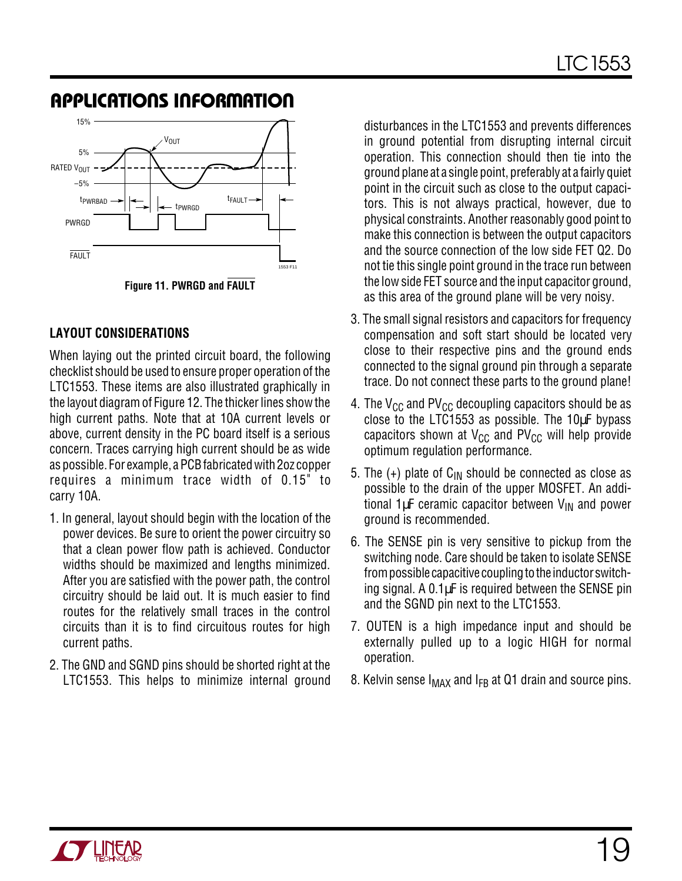

**Figure 11. PWRGD and FAULT**

#### **LAYOUT CONSIDERATIONS**

When laying out the printed circuit board, the following checklist should be used to ensure proper operation of the LTC1553. These items are also illustrated graphically in the layout diagram of Figure 12. The thicker lines show the high current paths. Note that at 10A current levels or above, current density in the PC board itself is a serious concern. Traces carrying high current should be as wide as possible. For example, a PCB fabricated with 2oz copper requires a minimum trace width of 0.15" to carry 10A.

- 1. In general, layout should begin with the location of the power devices. Be sure to orient the power circuitry so that a clean power flow path is achieved. Conductor widths should be maximized and lengths minimized. After you are satisfied with the power path, the control circuitry should be laid out. It is much easier to find routes for the relatively small traces in the control circuits than it is to find circuitous routes for high current paths.
- 2. The GND and SGND pins should be shorted right at the LTC1553. This helps to minimize internal ground

disturbances in the LTC1553 and prevents differences in ground potential from disrupting internal circuit operation. This connection should then tie into the ground plane at a single point, preferably at a fairly quiet point in the circuit such as close to the output capacitors. This is not always practical, however, due to physical constraints. Another reasonably good point to make this connection is between the output capacitors and the source connection of the low side FET Q2. Do not tie this single point ground in the trace run between the low side FET source and the input capacitor ground, as this area of the ground plane will be very noisy.

- 3. The small signal resistors and capacitors for frequency compensation and soft start should be located very close to their respective pins and the ground ends connected to the signal ground pin through a separate trace. Do not connect these parts to the ground plane!
- 4. The  $V_{CC}$  and PV<sub>CC</sub> decoupling capacitors should be as close to the LTC1553 as possible. The 10µF bypass capacitors shown at  $V_{CC}$  and PV<sub>CC</sub> will help provide optimum regulation performance.
- 5. The  $(+)$  plate of C<sub>IN</sub> should be connected as close as possible to the drain of the upper MOSFET. An additional  $1 \mu$ F ceramic capacitor between  $V_{IN}$  and power ground is recommended.
- 6. The SENSE pin is very sensitive to pickup from the switching node. Care should be taken to isolate SENSE from possible capacitive coupling to the inductor switching signal. A 0.1µF is required between the SENSE pin and the SGND pin next to the LTC1553.
- 7. OUTEN is a high impedance input and should be externally pulled up to a logic HIGH for normal operation.
- 8. Kelvin sense  $I_{MAX}$  and  $I_{FB}$  at Q1 drain and source pins.

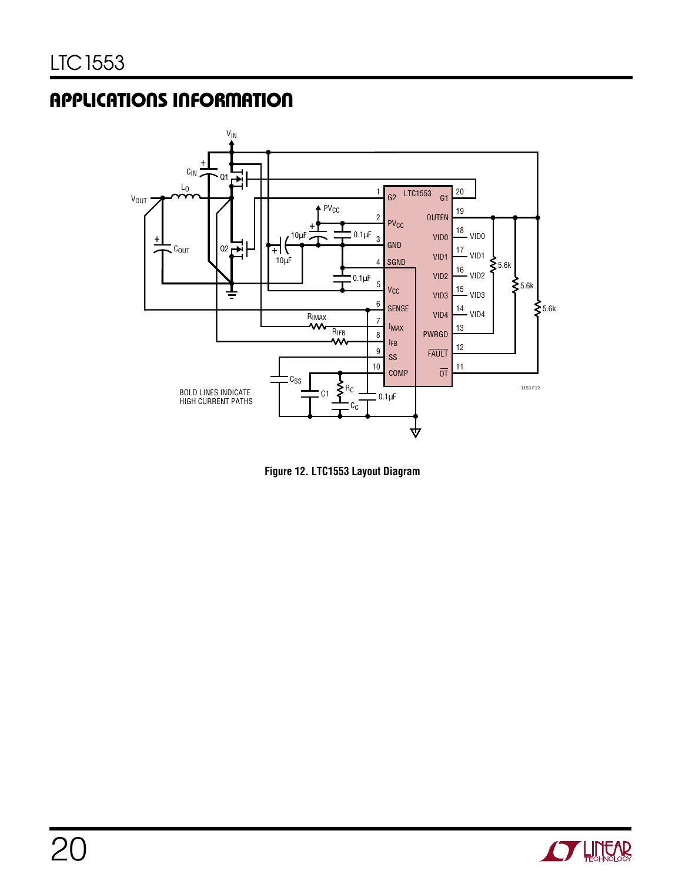

**Figure 12. LTC1553 Layout Diagram**

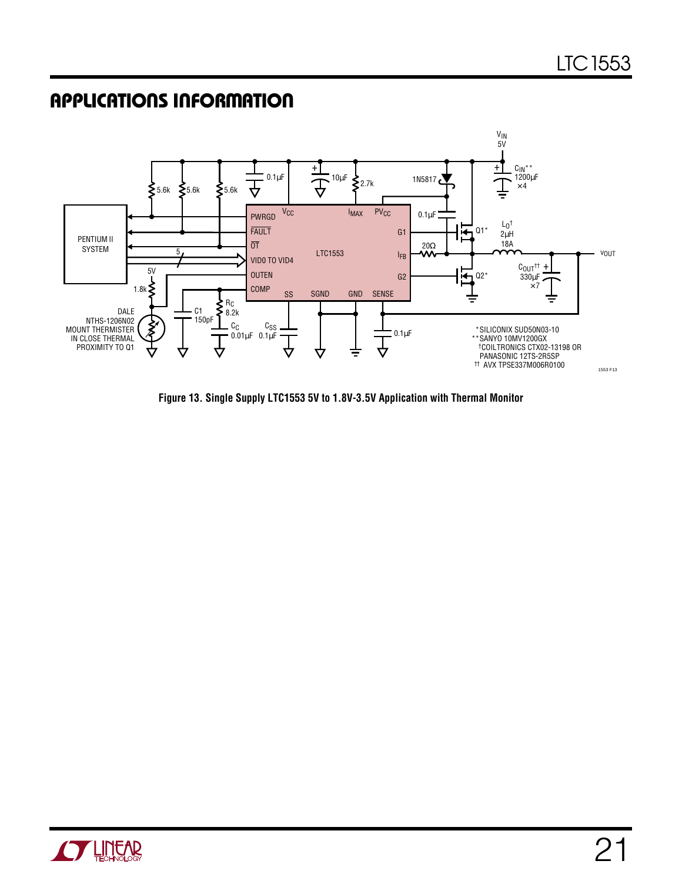### **APPLICATIONS INFORMATION**



**Figure 13. Single Supply LTC1553 5V to 1.8V-3.5V Application with Thermal Monitor**

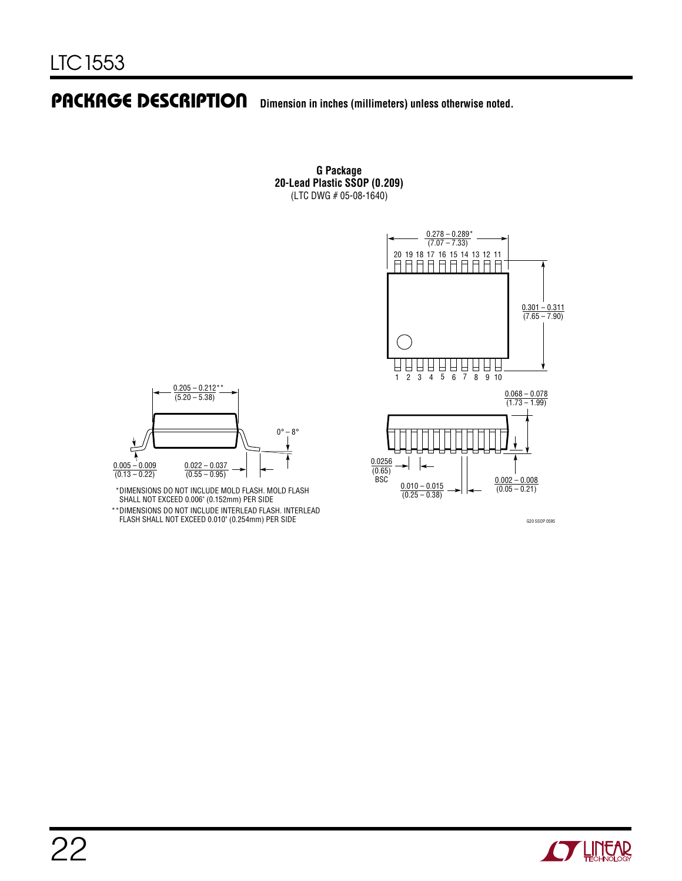### **PACKAGE DESCRIPTION U Dimension in inches (millimeters) unless otherwise noted.**

**G Package 20-Lead Plastic SSOP (0.209)** (LTC DWG # 05-08-1640)



SHALL NOT EXCEED 0.006" (0.152mm) PER SIDE DIMENSIONS DO NOT INCLUDE INTERLEAD FLASH. INTERLEAD FLASH SHALL NOT EXCEED 0.010" (0.254mm) PER SIDE \*\*

(0.55 – 0.95)

 $0.205 - 0.212**$  $(5.20 - 5.38)$ 

0.005 – 0.009  $(0.13 - 0.22)$ 

 $\ddagger$ 

G20 SSOP 0595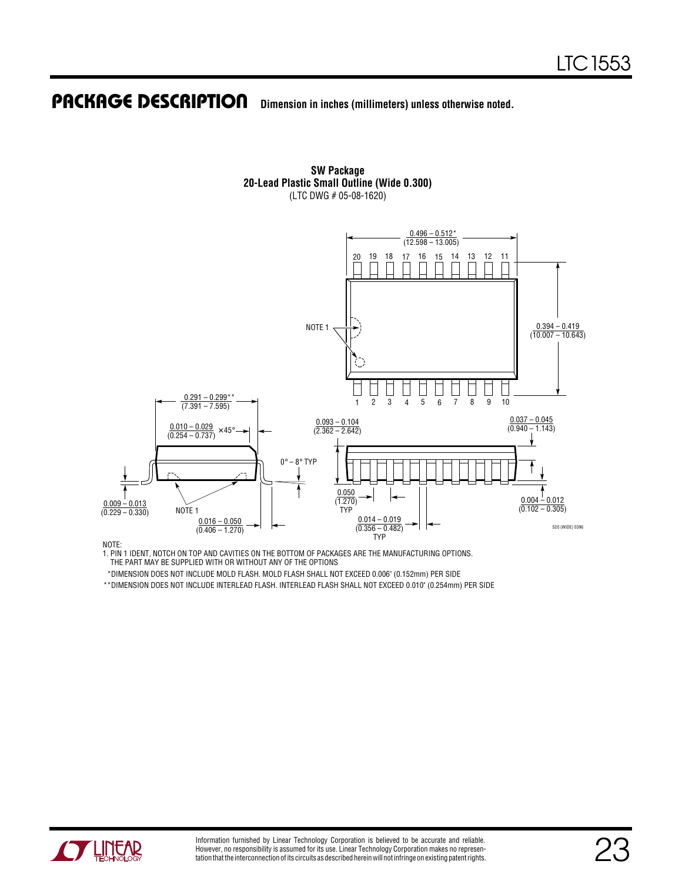### **PACKAGE DESCRIPTION U Dimension in inches (millimeters) unless otherwise noted.**



(LTC DWG # 05-08-1620)

**SW Package 20-Lead Plastic Small Outline (Wide 0.300)**

NOTE:

1. PIN 1 IDENT, NOTCH ON TOP AND CAVITIES ON THE BOTTOM OF PACKAGES ARE THE MANUFACTURING OPTIONS. THE PART MAY BE SUPPLIED WITH OR WITHOUT ANY OF THE OPTIONS

\*DIMENSION DOES NOT INCLUDE MOLD FLASH. MOLD FLASH SHALL NOT EXCEED 0.006" (0.152mm) PER SIDE

\*\*DIMENSION DOES NOT INCLUDE INTERLEAD FLASH. INTERLEAD FLASH SHALL NOT EXCEED 0.010" (0.254mm) PER SIDE

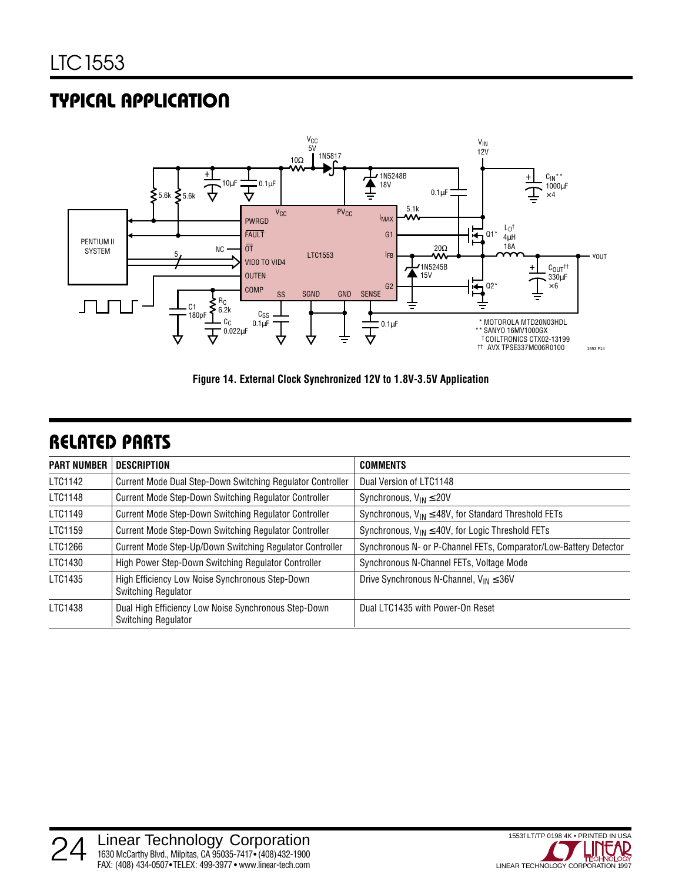# **TYPICAL APPLICATION U**



**Figure 14. External Clock Synchronized 12V to 1.8V-3.5V Application**

### **RELATED PARTS**

| <b>PART NUMBER</b> | <b>DESCRIPTION</b>                                                                 | <b>COMMENTS</b>                                                   |  |
|--------------------|------------------------------------------------------------------------------------|-------------------------------------------------------------------|--|
| LTC1142            | Current Mode Dual Step-Down Switching Regulator Controller                         | Dual Version of LTC1148                                           |  |
| LTC1148            | Current Mode Step-Down Switching Regulator Controller                              | Synchronous, $V_{IN} \leq 20V$                                    |  |
| LTC1149            | Current Mode Step-Down Switching Regulator Controller                              | Synchronous, $V_{IN} \leq 48V$ , for Standard Threshold FETs      |  |
| LTC1159            | Current Mode Step-Down Switching Regulator Controller                              | Synchronous, $V_{IN} \leq 40V$ , for Logic Threshold FETs         |  |
| LTC1266            | Current Mode Step-Up/Down Switching Regulator Controller                           | Synchronous N- or P-Channel FETs, Comparator/Low-Battery Detector |  |
| LTC1430            | High Power Step-Down Switching Regulator Controller                                | Synchronous N-Channel FETs, Voltage Mode                          |  |
| LTC1435            | High Efficiency Low Noise Synchronous Step-Down<br><b>Switching Regulator</b>      | Drive Synchronous N-Channel, $V_{IN} \leq 36V$                    |  |
| LTC1438            | Dual High Efficiency Low Noise Synchronous Step-Down<br><b>Switching Regulator</b> | Dual LTC1435 with Power-On Reset                                  |  |